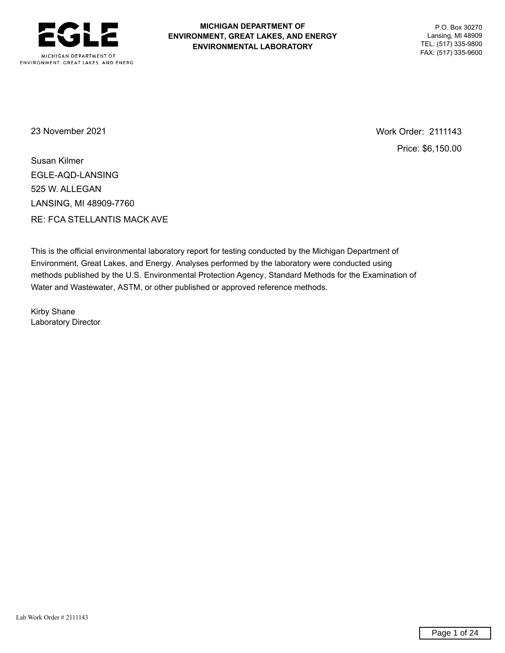

## **MICHIGAN DEPARTMENT OF** P.O. Box 30270 **ENVIRONMENT, GREAT LAKES, AND ENERGY Lansing, MI 48909**<br>**ENVIRONMENTAL LABORATORY** TEL: (517) 335-9800 **ENVIRONMENTAL LABORATORY**

FAX: (517) 335-9600

23 November 2021 23 November 2021 Price: \$6,150.00

Susan Kilmer EGLE-AQD-LANSING 525 W. ALLEGAN LANSING, MI 48909-7760 RE: FCA STELLANTIS MACK AVE

This is the official environmental laboratory report for testing conducted by the Michigan Department of Environment, Great Lakes, and Energy. Analyses performed by the laboratory were conducted using methods published by the U.S. Environmental Protection Agency, Standard Methods for the Examination of Water and Wastewater, ASTM, or other published or approved reference methods.

Kirby Shane Laboratory Director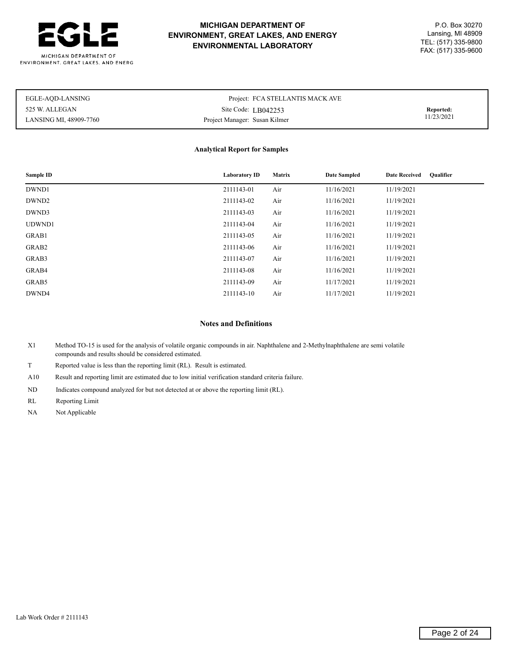

# **MICHIGAN DEPARTMENT OF** P.O. Box 30270 **ENVIRONMENT, GREAT LAKES, AND ENERGY** Lansing, MI 48909 TEL: (517) 335-9800 **ENVIRONMENTAL LABORATORY** FAX: (517) 335-9600

| EGLE-AQD-LANSING       | Project: FCA STELLANTIS MACK AVE |            |
|------------------------|----------------------------------|------------|
| 525 W. ALLEGAN         | Site Code: $L$ B042253           | Reported:  |
| LANSING MI, 48909-7760 | Project Manager: Susan Kilmer    | 11/23/2021 |

### **Analytical Report for Samples**

| Sample ID         | <b>Laboratory ID</b> | <b>Matrix</b> | <b>Date Sampled</b> | <b>Oualifier</b><br><b>Date Received</b> |
|-------------------|----------------------|---------------|---------------------|------------------------------------------|
| DWND1             | 2111143-01           | Air           | 11/16/2021          | 11/19/2021                               |
| DWND <sub>2</sub> | 2111143-02           | Air           | 11/16/2021          | 11/19/2021                               |
| DWND3             | 2111143-03           | Air           | 11/16/2021          | 11/19/2021                               |
| UDWND1            | 2111143-04           | Air           | 11/16/2021          | 11/19/2021                               |
| GRAB1             | 2111143-05           | Air           | 11/16/2021          | 11/19/2021                               |
| GRAB2             | 2111143-06           | Air           | 11/16/2021          | 11/19/2021                               |
| GRAB3             | 2111143-07           | Air           | 11/16/2021          | 11/19/2021                               |
| GRAB4             | 2111143-08           | Air           | 11/16/2021          | 11/19/2021                               |
| GRAB5             | 2111143-09           | Air           | 11/17/2021          | 11/19/2021                               |
| DWND4             | 2111143-10           | Air           | 11/17/2021          | 11/19/2021                               |

### **Notes and Definitions**

X1 Method TO-15 is used for the analysis of volatile organic compounds in air. Naphthalene and 2-Methylnaphthalene are semi volatile compounds and results should be considered estimated.

T Reported value is less than the reporting limit (RL). Result is estimated.

A10 Result and reporting limit are estimated due to low initial verification standard criteria failure.

ND Indicates compound analyzed for but not detected at or above the reporting limit (RL).

RL Reporting Limit

NA Not Applicable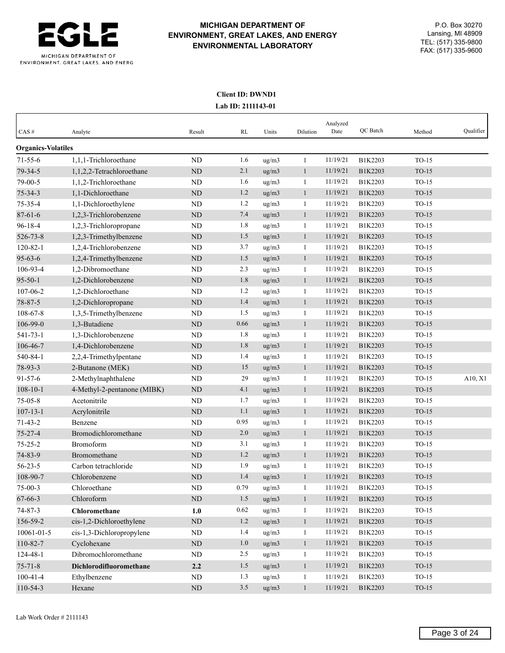

## **Client ID: DWND1 Lab ID: 2111143-01**

| Method                        | Qualifier |
|-------------------------------|-----------|
|                               |           |
| $TO-15$                       |           |
| $TO-15$                       |           |
| $TO-15$                       |           |
| $TO-15$                       |           |
| $TO-15$                       |           |
| $TO-15$                       |           |
| $TO-15$                       |           |
| $TO-15$                       |           |
| $TO-15$                       |           |
| $TO-15$                       |           |
| $TO-15$                       |           |
| $TO-15$                       |           |
| $TO-15$                       |           |
| $TO-15$                       |           |
| $TO-15$                       |           |
| $TO-15$                       |           |
| $TO-15$                       |           |
| $TO-15$                       |           |
| $TO-15$                       |           |
| $TO-15$                       |           |
| $TO-15$                       | A10, X1   |
| $TO-15$                       |           |
| $TO-15$                       |           |
| $TO-15$                       |           |
| $TO-15$                       |           |
| $TO-15$                       |           |
| $TO-15$                       |           |
| $TO-15$                       |           |
| $TO-15$                       |           |
| $TO-15$                       |           |
| $TO-15$                       |           |
| $TO-15$                       |           |
| $TO-15$                       |           |
| $TO-15$                       |           |
| $TO-15$                       |           |
| $TO-15$                       |           |
| $TO-15$                       |           |
|                               |           |
|                               |           |
|                               |           |
| $TO-15$<br>$TO-15$<br>$TO-15$ |           |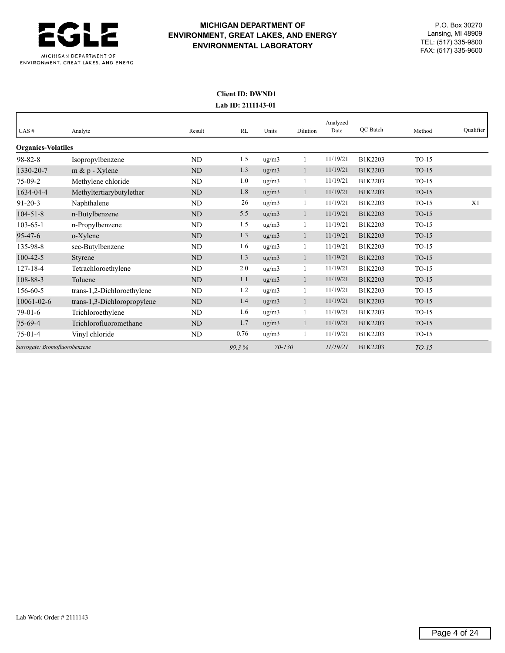

# **MICHIGAN DEPARTMENT OF** P.O. Box 30270 **ENVIRONMENT, GREAT LAKES, AND ENERGY** Lansing, MI 48909<br> **ENVIRONMENTAL LARORATORY** TEL: (517) 335-9800 TEL: (517) 335-9800 **ENVIRONMENTAL LABORATORY** FAX: (517) 335-9600

## **Client ID: DWND1 Lab ID: 2111143-01**

| CAS#                          | Analyte                     | Result    | RL    | Units               | Dilution     | Analyzed<br>Date | QC Batch | Method  | Qualifier |
|-------------------------------|-----------------------------|-----------|-------|---------------------|--------------|------------------|----------|---------|-----------|
| <b>Organics-Volatiles</b>     |                             |           |       |                     |              |                  |          |         |           |
| $98 - 82 - 8$                 | Isopropylbenzene            | ND        | 1.5   | ug/m3               |              | 11/19/21         | B1K2203  | $TO-15$ |           |
| 1330-20-7                     | $m \& p$ - Xylene           | ND        | 1.3   | ug/m3               | $\mathbf{1}$ | 11/19/21         | B1K2203  | $TO-15$ |           |
| $75-09-2$                     | Methylene chloride          | ND        | 1.0   | ug/m3               | $\mathbf{1}$ | 11/19/21         | B1K2203  | $TO-15$ |           |
| 1634-04-4                     | Methyltertiarybutylether    | ND        | 1.8   | ug/m3               | $\mathbf{1}$ | 11/19/21         | B1K2203  | $TO-15$ |           |
| $91 - 20 - 3$                 | Naphthalene                 | ND        | 26    | ug/m3               | 1            | 11/19/21         | B1K2203  | $TO-15$ | X1        |
| $104 - 51 - 8$                | n-Butylbenzene              | <b>ND</b> | 5.5   | ug/m3               | $\mathbf{1}$ | 11/19/21         | B1K2203  | $TO-15$ |           |
| $103 - 65 - 1$                | n-Propylbenzene             | ND        | 1.5   | ug/m3               | 1            | 11/19/21         | B1K2203  | $TO-15$ |           |
| $95 - 47 - 6$                 | o-Xylene                    | ND        | 1.3   | ug/m3               | $\mathbf{1}$ | 11/19/21         | B1K2203  | $TO-15$ |           |
| 135-98-8                      | sec-Butylbenzene            | ND        | 1.6   | ug/m3               | $\mathbf{1}$ | 11/19/21         | B1K2203  | $TO-15$ |           |
| $100 - 42 - 5$                | Styrene                     | ND        | 1.3   | ug/m3               | $\mathbf{1}$ | 11/19/21         | B1K2203  | $TO-15$ |           |
| $127 - 18 - 4$                | Tetrachloroethylene         | ND        | 2.0   | ug/m3               | 1            | 11/19/21         | B1K2203  | $TO-15$ |           |
| 108-88-3                      | Toluene                     | ND        | 1.1   | ug/m3               | $\mathbf{1}$ | 11/19/21         | B1K2203  | $TO-15$ |           |
| 156-60-5                      | trans-1,2-Dichloroethylene  | ND        | 1.2   | ug/m3               | 1            | 11/19/21         | B1K2203  | $TO-15$ |           |
| $10061 - 02 - 6$              | trans-1,3-Dichloropropylene | <b>ND</b> | 1.4   | ug/m3               | 1            | 11/19/21         | B1K2203  | $TO-15$ |           |
| $79-01-6$                     | Trichloroethylene           | ND        | 1.6   | ug/m3               | 1            | 11/19/21         | B1K2203  | $TO-15$ |           |
| $75-69-4$                     | Trichlorofluoromethane      | ND        | 1.7   | ug/m3               | $\mathbf{1}$ | 11/19/21         | B1K2203  | $TO-15$ |           |
| $75-01-4$                     | Vinyl chloride              | ND        | 0.76  | $\mu$ g/m $\lambda$ | 1            | 11/19/21         | B1K2203  | $TO-15$ |           |
| Surrogate: Bromofluorobenzene |                             |           | 99.3% | $70 - 130$          |              | 11/19/21         | B1K2203  | $TO-15$ |           |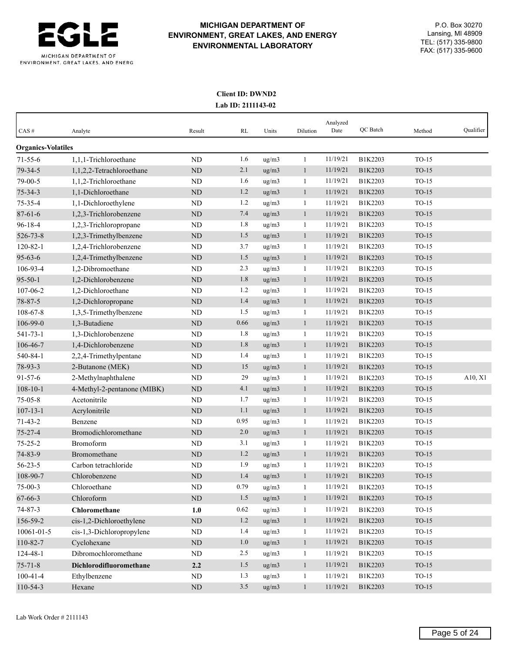

## **Client ID: DWND2 Lab ID: 2111143-02**

|                           |                             |             |          |                  |              | Analyzed<br>Date | QC Batch |         | Qualifier |
|---------------------------|-----------------------------|-------------|----------|------------------|--------------|------------------|----------|---------|-----------|
| CAS#                      | Analyte                     | Result      | RL       | Units            | Dilution     |                  |          | Method  |           |
| <b>Organics-Volatiles</b> |                             |             |          |                  |              |                  |          |         |           |
| $71 - 55 - 6$             | 1,1,1-Trichloroethane       | <b>ND</b>   | 1.6      | ug/m3            | 1            | 11/19/21         | B1K2203  | $TO-15$ |           |
| $79 - 34 - 5$             | 1,1,2,2-Tetrachloroethane   | <b>ND</b>   | 2.1      | ug/m3            | $\mathbf{1}$ | 11/19/21         | B1K2203  | $TO-15$ |           |
| 79-00-5                   | 1,1,2-Trichloroethane       | <b>ND</b>   | 1.6      | ug/m3            | 1            | 11/19/21         | B1K2203  | $TO-15$ |           |
| $75 - 34 - 3$             | 1,1-Dichloroethane          | <b>ND</b>   | 1.2      | ug/m3            | $\mathbf{1}$ | 11/19/21         | B1K2203  | $TO-15$ |           |
| $75 - 35 - 4$             | 1,1-Dichloroethylene        | <b>ND</b>   | 1.2      | ug/m3            | 1            | 11/19/21         | B1K2203  | $TO-15$ |           |
| $87 - 61 - 6$             | 1,2,3-Trichlorobenzene      | <b>ND</b>   | 7.4      | ug/m3            | $\mathbf{1}$ | 11/19/21         | B1K2203  | $TO-15$ |           |
| $96 - 18 - 4$             | 1,2,3-Trichloropropane      | <b>ND</b>   | 1.8      | ug/m3            | 1            | 11/19/21         | B1K2203  | $TO-15$ |           |
| 526-73-8                  | 1,2,3-Trimethylbenzene      | <b>ND</b>   | 1.5      | ug/m3            | $\mathbf{1}$ | 11/19/21         | B1K2203  | $TO-15$ |           |
| $120 - 82 - 1$            | 1,2,4-Trichlorobenzene      | <b>ND</b>   | 3.7      | $\rm ug/m3$      | 1            | 11/19/21         | B1K2203  | $TO-15$ |           |
| $95 - 63 - 6$             | 1,2,4-Trimethylbenzene      | <b>ND</b>   | 1.5      | ug/m3            | $\mathbf{1}$ | 11/19/21         | B1K2203  | $TO-15$ |           |
| 106-93-4                  | 1,2-Dibromoethane           | ND          | 2.3      | ug/m3            | 1            | 11/19/21         | B1K2203  | $TO-15$ |           |
| $95 - 50 - 1$             | 1,2-Dichlorobenzene         | <b>ND</b>   | 1.8      | ug/m3            | $\mathbf{1}$ | 11/19/21         | B1K2203  | $TO-15$ |           |
| 107-06-2                  | 1,2-Dichloroethane          | <b>ND</b>   | 1.2      | ug/m3            | 1            | 11/19/21         | B1K2203  | $TO-15$ |           |
| 78-87-5                   | 1,2-Dichloropropane         | <b>ND</b>   | 1.4      | ug/m3            | $\mathbf{1}$ | 11/19/21         | B1K2203  | $TO-15$ |           |
| 108-67-8                  | 1,3,5-Trimethylbenzene      | <b>ND</b>   | 1.5      | ug/m3            | $\mathbf{1}$ | 11/19/21         | B1K2203  | $TO-15$ |           |
| 106-99-0                  | 1,3-Butadiene               | <b>ND</b>   | 0.66     | ug/m3            | $\mathbf{1}$ | 11/19/21         | B1K2203  | $TO-15$ |           |
| 541-73-1                  | 1.3-Dichlorobenzene         | <b>ND</b>   | 1.8      | ug/m3            | 1            | 11/19/21         | B1K2203  | $TO-15$ |           |
| 106-46-7                  | 1,4-Dichlorobenzene         | <b>ND</b>   | 1.8      | ug/m3            | $\mathbf{1}$ | 11/19/21         | B1K2203  | $TO-15$ |           |
| 540-84-1                  | 2,2,4-Trimethylpentane      | ND          | 1.4      | ug/m3            | 1            | 11/19/21         | B1K2203  | $TO-15$ |           |
| 78-93-3                   | 2-Butanone (MEK)            | <b>ND</b>   | 15       | ug/m3            | $\mathbf{1}$ | 11/19/21         | B1K2203  | $TO-15$ |           |
| $91 - 57 - 6$             | 2-Methylnaphthalene         | ND          | 29       | ug/m3            | 1            | 11/19/21         | B1K2203  | $TO-15$ | A10, X1   |
| $108 - 10 - 1$            | 4-Methyl-2-pentanone (MIBK) | <b>ND</b>   | 4.1      | ug/m3            | $\mathbf{1}$ | 11/19/21         | B1K2203  | $TO-15$ |           |
| $75 - 05 - 8$             | Acetonitrile                | ND          | 1.7      | $\frac{ug}{m^3}$ | 1            | 11/19/21         | B1K2203  | $TO-15$ |           |
| $107 - 13 - 1$            | Acrylonitrile               | <b>ND</b>   | 1.1      | ug/m3            | $\mathbf{1}$ | 11/19/21         | B1K2203  | $TO-15$ |           |
| $71 - 43 - 2$             | Benzene                     | ND          | 0.95     | ug/m3            | 1            | 11/19/21         | B1K2203  | $TO-15$ |           |
| $75 - 27 - 4$             | Bromodichloromethane        | <b>ND</b>   | 2.0      | ug/m3            | $\mathbf{1}$ | 11/19/21         | B1K2203  | $TO-15$ |           |
| $75 - 25 - 2$             | Bromoform                   | <b>ND</b>   | 3.1      | ug/m3            | 1            | 11/19/21         | B1K2203  | $TO-15$ |           |
| 74-83-9                   | Bromomethane                | <b>ND</b>   | 1.2      | ug/m3            | $\mathbf{1}$ | 11/19/21         | B1K2203  | $TO-15$ |           |
| $56 - 23 - 5$             | Carbon tetrachloride        | <b>ND</b>   | 1.9      | ug/m3            | 1            | 11/19/21         | B1K2203  | $TO-15$ |           |
| 108-90-7                  | Chlorobenzene               | <b>ND</b>   | 1.4      | ug/m3            | $\mathbf{1}$ | 11/19/21         | B1K2203  | $TO-15$ |           |
| $75-00-3$                 | Chloroethane                | $\rm ND$    | 0.79     | ug/m3            | $\mathbf{1}$ | 11/19/21         | B1K2203  | $TO-15$ |           |
| $67 - 66 - 3$             | Chloroform                  | $\mbox{ND}$ | 1.5      | ug/m3            | $\mathbf{1}$ | 11/19/21         | B1K2203  | $TO-15$ |           |
| $74 - 87 - 3$             | Chloromethane               | 1.0         | $0.62\,$ | ug/m3            | $\mathbf{1}$ | 11/19/21         | B1K2203  | $TO-15$ |           |
| 156-59-2                  | cis-1,2-Dichloroethylene    | $\mbox{ND}$ | 1.2      | ug/m3            | $\mathbf{1}$ | 11/19/21         | B1K2203  | $TO-15$ |           |
| 10061-01-5                | cis-1,3-Dichloropropylene   | $\rm ND$    | 1.4      | ug/m3            | $\mathbf{1}$ | 11/19/21         | B1K2203  | $TO-15$ |           |
| 110-82-7                  | Cyclohexane                 | $\mbox{ND}$ | 1.0      | ug/m3            | $\mathbf{1}$ | 11/19/21         | B1K2203  | $TO-15$ |           |
| 124-48-1                  | Dibromochloromethane        | ND          | 2.5      | ug/m3            | $\mathbf{1}$ | 11/19/21         | B1K2203  | $TO-15$ |           |
| $75 - 71 - 8$             | Dichlorodifluoromethane     | 2.2         | 1.5      | ug/m3            | $\mathbf{1}$ | 11/19/21         | B1K2203  | $TO-15$ |           |
| $100 - 41 - 4$            | Ethylbenzene                | $\rm ND$    | 1.3      | ug/m3            | $\mathbf{1}$ | 11/19/21         | B1K2203  | $TO-15$ |           |
| 110-54-3                  | Hexane                      | $\mbox{ND}$ | 3.5      | ug/m3            | $\mathbf{1}$ | 11/19/21         | B1K2203  | $TO-15$ |           |
|                           |                             |             |          |                  |              |                  |          |         |           |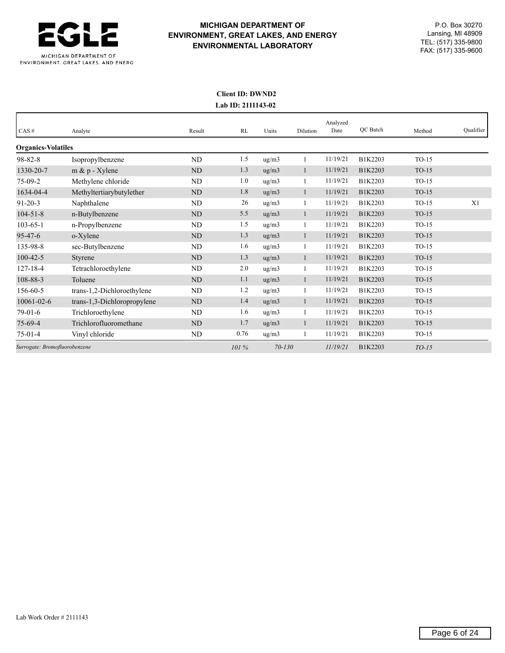

# **MICHIGAN DEPARTMENT OF** P.O. Box 30270 **ENVIRONMENT, GREAT LAKES, AND ENERGY** Lansing, MI 48909<br> **ENVIRONMENTAL LARORATORY** TEL: (517) 335-9800 TEL: (517) 335-9800 **ENVIRONMENTAL LABORATORY** FAX: (517) 335-9600

## **Client ID: DWND2 Lab ID: 2111143-02**

| CAS#                          | Analyte                     | Result         | RL    | Units      | Dilution     | Analyzed<br>Date | QC Batch | Method  | Qualifier |
|-------------------------------|-----------------------------|----------------|-------|------------|--------------|------------------|----------|---------|-----------|
| <b>Organics-Volatiles</b>     |                             |                |       |            |              |                  |          |         |           |
| $98 - 82 - 8$                 | Isopropylbenzene            | N <sub>D</sub> | 1.5   | ug/m3      |              | 11/19/21         | B1K2203  | $TO-15$ |           |
| 1330-20-7                     | $m \& p$ - Xylene           | ND             | 1.3   | ug/m3      | $\mathbf{1}$ | 11/19/21         | B1K2203  | $TO-15$ |           |
| $75-09-2$                     | Methylene chloride          | ND             | 1.0   | ug/m3      |              | 11/19/21         | B1K2203  | $TO-15$ |           |
| 1634-04-4                     | Methyltertiarybutylether    | ND             | 1.8   | ug/m3      | $\mathbf{1}$ | 11/19/21         | B1K2203  | $TO-15$ |           |
| $91 - 20 - 3$                 | Naphthalene                 | ND             | 26    | ug/m3      | 1            | 11/19/21         | B1K2203  | $TO-15$ | X1        |
| $104 - 51 - 8$                | n-Butylbenzene              | ND             | 5.5   | ug/m3      | 1            | 11/19/21         | B1K2203  | $TO-15$ |           |
| $103 - 65 - 1$                | n-Propylbenzene             | ND             | 1.5   | ug/m3      | 1            | 11/19/21         | B1K2203  | $TO-15$ |           |
| $95 - 47 - 6$                 | o-Xylene                    | ND             | 1.3   | ug/m3      | $\mathbf{1}$ | 11/19/21         | B1K2203  | $TO-15$ |           |
| 135-98-8                      | sec-Butylbenzene            | ND             | 1.6   | ug/m3      | $\mathbf{1}$ | 11/19/21         | B1K2203  | $TO-15$ |           |
| $100 - 42 - 5$                | Styrene                     | ND             | 1.3   | ug/m3      | $\mathbf{1}$ | 11/19/21         | B1K2203  | $TO-15$ |           |
| $127 - 18 - 4$                | Tetrachloroethylene         | ND             | 2.0   | ug/m3      | $\mathbf{1}$ | 11/19/21         | B1K2203  | $TO-15$ |           |
| 108-88-3                      | Toluene                     | ND             | 1.1   | ug/m3      | 1            | 11/19/21         | B1K2203  | $TO-15$ |           |
| 156-60-5                      | trans-1,2-Dichloroethylene  | ND             | 1.2   | ug/m3      | 1            | 11/19/21         | B1K2203  | $TO-15$ |           |
| $10061 - 02 - 6$              | trans-1,3-Dichloropropylene | ND             | 1.4   | ug/m3      | 1            | 11/19/21         | B1K2203  | $TO-15$ |           |
| $79-01-6$                     | Trichloroethylene           | ND             | 1.6   | ug/m3      | $\mathbf{1}$ | 11/19/21         | B1K2203  | $TO-15$ |           |
| $75-69-4$                     | Trichlorofluoromethane      | ND             | 1.7   | ug/m3      | $\mathbf{1}$ | 11/19/21         | B1K2203  | $TO-15$ |           |
| $75-01-4$                     | Vinyl chloride              | ND             | 0.76  | ug/m3      | 1            | 11/19/21         | B1K2203  | $TO-15$ |           |
| Surrogate: Bromofluorobenzene |                             |                | 101 % | $70 - 130$ |              | 11/19/21         | B1K2203  | $TO-15$ |           |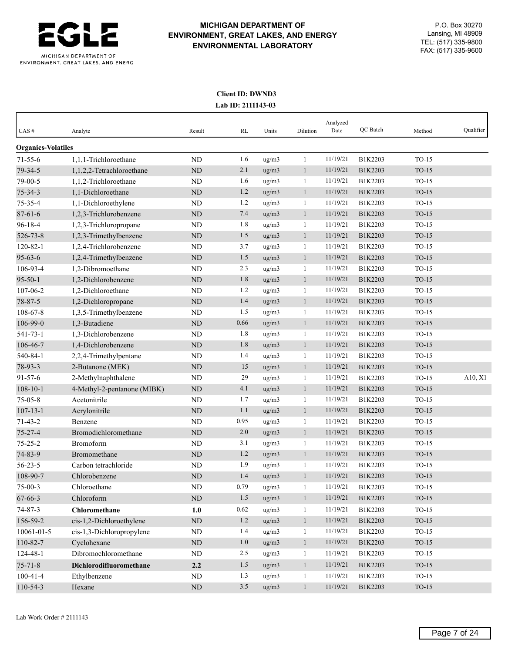

## **Client ID: DWND3 Lab ID: 2111143-03**

|                           |                             |             |          |             |              | Analyzed<br>Date | QC Batch |         | Qualifier |
|---------------------------|-----------------------------|-------------|----------|-------------|--------------|------------------|----------|---------|-----------|
| CAS#                      | Analyte                     | Result      | RL       | Units       | Dilution     |                  |          | Method  |           |
| <b>Organics-Volatiles</b> |                             |             |          |             |              |                  |          |         |           |
| $71 - 55 - 6$             | 1,1,1-Trichloroethane       | <b>ND</b>   | 1.6      | ug/m3       | 1            | 11/19/21         | B1K2203  | $TO-15$ |           |
| $79 - 34 - 5$             | 1,1,2,2-Tetrachloroethane   | <b>ND</b>   | 2.1      | ug/m3       | $\mathbf{1}$ | 11/19/21         | B1K2203  | $TO-15$ |           |
| 79-00-5                   | 1,1,2-Trichloroethane       | <b>ND</b>   | 1.6      | ug/m3       | 1            | 11/19/21         | B1K2203  | $TO-15$ |           |
| $75 - 34 - 3$             | 1,1-Dichloroethane          | <b>ND</b>   | 1.2      | ug/m3       | $\mathbf{1}$ | 11/19/21         | B1K2203  | $TO-15$ |           |
| $75 - 35 - 4$             | 1,1-Dichloroethylene        | <b>ND</b>   | 1.2      | ug/m3       | 1            | 11/19/21         | B1K2203  | $TO-15$ |           |
| $87 - 61 - 6$             | 1,2,3-Trichlorobenzene      | <b>ND</b>   | 7.4      | ug/m3       | $\mathbf{1}$ | 11/19/21         | B1K2203  | $TO-15$ |           |
| $96 - 18 - 4$             | 1,2,3-Trichloropropane      | <b>ND</b>   | 1.8      | ug/m3       | 1            | 11/19/21         | B1K2203  | $TO-15$ |           |
| 526-73-8                  | 1,2,3-Trimethylbenzene      | <b>ND</b>   | 1.5      | ug/m3       | $\mathbf{1}$ | 11/19/21         | B1K2203  | $TO-15$ |           |
| $120 - 82 - 1$            | 1,2,4-Trichlorobenzene      | <b>ND</b>   | 3.7      | $\rm ug/m3$ | 1            | 11/19/21         | B1K2203  | $TO-15$ |           |
| $95 - 63 - 6$             | 1,2,4-Trimethylbenzene      | <b>ND</b>   | 1.5      | ug/m3       | $\mathbf{1}$ | 11/19/21         | B1K2203  | $TO-15$ |           |
| 106-93-4                  | 1,2-Dibromoethane           | ND          | 2.3      | ug/m3       | 1            | 11/19/21         | B1K2203  | $TO-15$ |           |
| $95 - 50 - 1$             | 1,2-Dichlorobenzene         | <b>ND</b>   | 1.8      | ug/m3       | $\mathbf{1}$ | 11/19/21         | B1K2203  | $TO-15$ |           |
| 107-06-2                  | 1,2-Dichloroethane          | <b>ND</b>   | 1.2      | ug/m3       | 1            | 11/19/21         | B1K2203  | $TO-15$ |           |
| 78-87-5                   | 1,2-Dichloropropane         | <b>ND</b>   | 1.4      | ug/m3       | $\mathbf{1}$ | 11/19/21         | B1K2203  | $TO-15$ |           |
| 108-67-8                  | 1,3,5-Trimethylbenzene      | <b>ND</b>   | 1.5      | ug/m3       | $\mathbf{1}$ | 11/19/21         | B1K2203  | $TO-15$ |           |
| 106-99-0                  | 1,3-Butadiene               | <b>ND</b>   | 0.66     | ug/m3       | $\mathbf{1}$ | 11/19/21         | B1K2203  | $TO-15$ |           |
| 541-73-1                  | 1.3-Dichlorobenzene         | <b>ND</b>   | 1.8      | ug/m3       | 1            | 11/19/21         | B1K2203  | $TO-15$ |           |
| 106-46-7                  | 1,4-Dichlorobenzene         | <b>ND</b>   | 1.8      | ug/m3       | $\mathbf{1}$ | 11/19/21         | B1K2203  | $TO-15$ |           |
| 540-84-1                  | 2,2,4-Trimethylpentane      | ND          | 1.4      | ug/m3       | 1            | 11/19/21         | B1K2203  | $TO-15$ |           |
| 78-93-3                   | 2-Butanone (MEK)            | <b>ND</b>   | 15       | ug/m3       | $\mathbf{1}$ | 11/19/21         | B1K2203  | $TO-15$ |           |
| $91 - 57 - 6$             | 2-Methylnaphthalene         | ND          | 29       | ug/m3       | 1            | 11/19/21         | B1K2203  | $TO-15$ | A10, X1   |
| $108 - 10 - 1$            | 4-Methyl-2-pentanone (MIBK) | <b>ND</b>   | 4.1      | ug/m3       | $\mathbf{1}$ | 11/19/21         | B1K2203  | $TO-15$ |           |
| $75 - 05 - 8$             | Acetonitrile                | ND          | 1.7      | ug/m3       | 1            | 11/19/21         | B1K2203  | $TO-15$ |           |
| $107 - 13 - 1$            | Acrylonitrile               | <b>ND</b>   | 1.1      | ug/m3       | $\mathbf{1}$ | 11/19/21         | B1K2203  | $TO-15$ |           |
| $71 - 43 - 2$             | Benzene                     | ND          | 0.95     | ug/m3       | 1            | 11/19/21         | B1K2203  | $TO-15$ |           |
| $75 - 27 - 4$             | Bromodichloromethane        | <b>ND</b>   | 2.0      | ug/m3       | $\mathbf{1}$ | 11/19/21         | B1K2203  | $TO-15$ |           |
| $75 - 25 - 2$             | Bromoform                   | <b>ND</b>   | 3.1      | ug/m3       | 1            | 11/19/21         | B1K2203  | $TO-15$ |           |
| 74-83-9                   | Bromomethane                | <b>ND</b>   | 1.2      | ug/m3       | $\mathbf{1}$ | 11/19/21         | B1K2203  | $TO-15$ |           |
| $56 - 23 - 5$             | Carbon tetrachloride        | <b>ND</b>   | 1.9      | ug/m3       | 1            | 11/19/21         | B1K2203  | $TO-15$ |           |
| 108-90-7                  | Chlorobenzene               | <b>ND</b>   | 1.4      | ug/m3       | $\mathbf{1}$ | 11/19/21         | B1K2203  | $TO-15$ |           |
| $75-00-3$                 | Chloroethane                | $\rm ND$    | 0.79     | ug/m3       | $\mathbf{1}$ | 11/19/21         | B1K2203  | $TO-15$ |           |
| $67 - 66 - 3$             | Chloroform                  | $\mbox{ND}$ | 1.5      | ug/m3       | $\mathbf{1}$ | 11/19/21         | B1K2203  | $TO-15$ |           |
| $74 - 87 - 3$             | Chloromethane               | 1.0         | $0.62\,$ | ug/m3       | $\mathbf{1}$ | 11/19/21         | B1K2203  | $TO-15$ |           |
| 156-59-2                  | cis-1,2-Dichloroethylene    | $\mbox{ND}$ | 1.2      | ug/m3       | $\mathbf{1}$ | 11/19/21         | B1K2203  | $TO-15$ |           |
| 10061-01-5                | cis-1,3-Dichloropropylene   | $\rm ND$    | 1.4      | ug/m3       | $\mathbf{1}$ | 11/19/21         | B1K2203  | $TO-15$ |           |
| 110-82-7                  | Cyclohexane                 | $\mbox{ND}$ | 1.0      | ug/m3       | $\mathbf{1}$ | 11/19/21         | B1K2203  | $TO-15$ |           |
| 124-48-1                  | Dibromochloromethane        | ND          | 2.5      | ug/m3       | $\mathbf{1}$ | 11/19/21         | B1K2203  | $TO-15$ |           |
| $75 - 71 - 8$             | Dichlorodifluoromethane     | 2.2         | 1.5      | ug/m3       | $\mathbf{1}$ | 11/19/21         | B1K2203  | $TO-15$ |           |
| $100 - 41 - 4$            | Ethylbenzene                | $\rm ND$    | 1.3      | ug/m3       | $\mathbf{1}$ | 11/19/21         | B1K2203  | $TO-15$ |           |
| 110-54-3                  | Hexane                      | $\mbox{ND}$ | 3.5      | ug/m3       | $\mathbf{1}$ | 11/19/21         | B1K2203  | $TO-15$ |           |
|                           |                             |             |          |             |              |                  |          |         |           |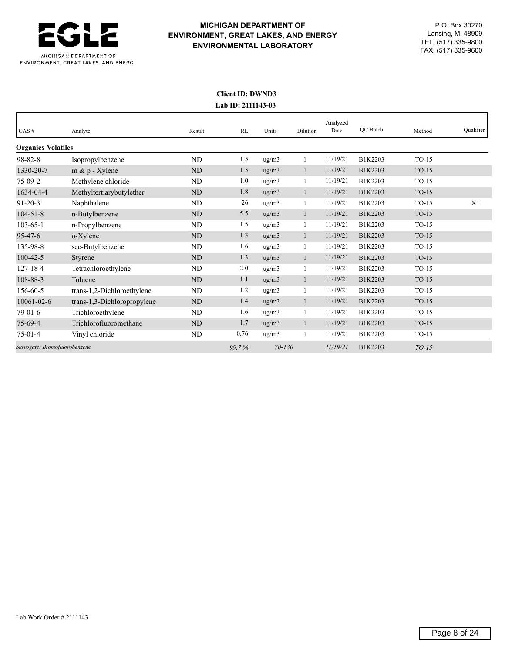

# **MICHIGAN DEPARTMENT OF** P.O. Box 30270 **ENVIRONMENT, GREAT LAKES, AND ENERGY** Lansing, MI 48909<br> **ENVIRONMENTAL LARORATORY** TEL: (517) 335-9800 TEL: (517) 335-9800 **ENVIRONMENTAL LABORATORY** FAX: (517) 335-9600

## **Client ID: DWND3 Lab ID: 2111143-03**

| CAS#                          | Analyte                     | Result    | RL    | Units               | Dilution     | Analyzed<br>Date | QC Batch | Method  | Qualifier |
|-------------------------------|-----------------------------|-----------|-------|---------------------|--------------|------------------|----------|---------|-----------|
| <b>Organics-Volatiles</b>     |                             |           |       |                     |              |                  |          |         |           |
| $98 - 82 - 8$                 | Isopropylbenzene            | <b>ND</b> | 1.5   | ug/m3               |              | 11/19/21         | B1K2203  | $TO-15$ |           |
| 1330-20-7                     | $m \& p$ - Xylene           | <b>ND</b> | 1.3   | ug/m3               |              | 11/19/21         | B1K2203  | $TO-15$ |           |
| $75-09-2$                     | Methylene chloride          | ND        | 1.0   | ug/m3               |              | 11/19/21         | B1K2203  | $TO-15$ |           |
| 1634-04-4                     | Methyltertiarybutylether    | <b>ND</b> | 1.8   | ug/m3               |              | 11/19/21         | B1K2203  | $TO-15$ |           |
| $91 - 20 - 3$                 | Naphthalene                 | <b>ND</b> | 26    | ug/m3               |              | 11/19/21         | B1K2203  | $TO-15$ | X1        |
| $104 - 51 - 8$                | n-Butylbenzene              | ND        | 5.5   | ug/m3               | -1           | 11/19/21         | B1K2203  | $TO-15$ |           |
| $103 - 65 - 1$                | n-Propylbenzene             | <b>ND</b> | 1.5   | ug/m3               |              | 11/19/21         | B1K2203  | $TO-15$ |           |
| $95 - 47 - 6$                 | o-Xylene                    | ND        | 1.3   | ug/m3               | $\mathbf{1}$ | 11/19/21         | B1K2203  | $TO-15$ |           |
| 135-98-8                      | sec-Butylbenzene            | ND        | 1.6   | ug/m3               |              | 11/19/21         | B1K2203  | $TO-15$ |           |
| $100 - 42 - 5$                | Styrene                     | <b>ND</b> | 1.3   | ug/m3               | $\mathbf{1}$ | 11/19/21         | B1K2203  | $TO-15$ |           |
| $127 - 18 - 4$                | Tetrachloroethylene         | <b>ND</b> | 2.0   | ug/m3               | $\mathbf{1}$ | 11/19/21         | B1K2203  | $TO-15$ |           |
| 108-88-3                      | Toluene                     | ND        | 1.1   | ug/m3               | 1            | 11/19/21         | B1K2203  | $TO-15$ |           |
| 156-60-5                      | trans-1,2-Dichloroethylene  | <b>ND</b> | 1.2   | ug/m3               | 1            | 11/19/21         | B1K2203  | $TO-15$ |           |
| $10061 - 02 - 6$              | trans-1,3-Dichloropropylene | ND        | 1.4   | ug/m3               |              | 11/19/21         | B1K2203  | $TO-15$ |           |
| $79-01-6$                     | Trichloroethylene           | ND        | 1.6   | $\mu$ g/m $\lambda$ |              | 11/19/21         | B1K2203  | $TO-15$ |           |
| $75-69-4$                     | Trichlorofluoromethane      | ND        | 1.7   | ug/m3               |              | 11/19/21         | B1K2203  | $TO-15$ |           |
| $75-01-4$                     | Vinyl chloride              | ND        | 0.76  | ug/m3               |              | 11/19/21         | B1K2203  | $TO-15$ |           |
| Surrogate: Bromofluorobenzene |                             |           | 99.7% | $70 - 130$          |              | 11/19/21         | B1K2203  | $TO-15$ |           |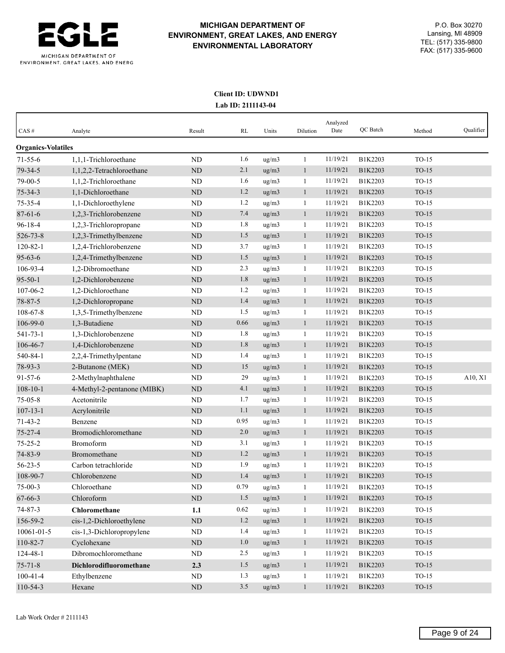

## **Client ID: UDWND1 Lab ID: 2111143-04**

| <b>Organics-Volatiles</b><br>1.6<br>1,1,1-Trichloroethane<br><b>ND</b><br>ug/m3<br>11/19/21<br>B1K2203<br>$TO-15$<br>$71 - 55 - 6$<br>$\mathbf{1}$<br>79-34-5<br>ND<br>2.1<br>ug/m3<br>11/19/21<br>1,1,2,2-Tetrachloroethane<br>B1K2203<br>$TO-15$<br>$\mathbf{1}$<br>1.6<br>79-00-5<br>1,1,2-Trichloroethane<br>ND<br>ug/m3<br>11/19/21<br>B1K2203<br>$TO-15$<br>1<br>1.2<br>1,1-Dichloroethane<br>11/19/21<br>$TO-15$<br>$75 - 34 - 3$<br><b>ND</b><br>ug/m3<br>$\mathbf{1}$<br>B1K2203<br>1.2<br>11/19/21<br>$75 - 35 - 4$<br>1,1-Dichloroethylene<br><b>ND</b><br>ug/m3<br>B1K2203<br>$TO-15$<br>1<br>7.4<br>$87 - 61 - 6$<br>1,2,3-Trichlorobenzene<br>ug/m3<br>B1K2203<br>$TO-15$<br><b>ND</b><br>$\mathbf{1}$<br>11/19/21<br>1.8<br>$96 - 18 - 4$<br>11/19/21<br>1,2,3-Trichloropropane<br><b>ND</b><br>ug/m3<br>B1K2203<br>$TO-15$<br>1<br>526-73-8<br>ND<br>1.5<br>11/19/21<br>$TO-15$<br>1,2,3-Trimethylbenzene<br>ug/m3<br>B1K2203<br>$\mathbf{1}$<br>$120 - 82 - 1$<br>3.7<br>11/19/21<br>$TO-15$<br>1,2,4-Trichlorobenzene<br>ND<br>ug/m3<br>B1K2203<br>1<br>$95 - 63 - 6$<br>1.5<br>11/19/21<br>1,2,4-Trimethylbenzene<br><b>ND</b><br>ug/m3<br>$\mathbf{1}$<br>B1K2203<br>$TO-15$<br>106-93-4<br>1,2-Dibromoethane<br>2.3<br>ug/m3<br>11/19/21<br>$TO-15$<br>ND<br>B1K2203<br>1<br>1.8<br>11/19/21<br>$95 - 50 - 1$<br>ug/m3<br>B1K2203<br>$TO-15$<br>1,2-Dichlorobenzene<br><b>ND</b><br>$\mathbf{1}$<br>107-06-2<br>1,2-Dichloroethane<br>ND<br>1.2<br>ug/m3<br>11/19/21<br>TO-15<br>B1K2203<br>1<br>78-87-5<br>ND<br>1.4<br>11/19/21<br>$TO-15$<br>1,2-Dichloropropane<br>ug/m3<br>$\mathbf{1}$<br>B1K2203<br>1.5<br>108-67-8<br>ug/m3<br>11/19/21<br>B1K2203<br>$TO-15$<br>1,3,5-Trimethylbenzene<br><b>ND</b><br>1<br>106-99-0<br>0.66<br>ug/m3<br>11/19/21<br>$TO-15$<br>1,3-Butadiene<br><b>ND</b><br>$\mathbf{1}$<br>B1K2203<br>541-73-1<br>1.8<br>11/19/21<br>1,3-Dichlorobenzene<br><b>ND</b><br>ug/m3<br>B1K2203<br>$TO-15$<br>1<br>1.8<br>$TO-15$<br>106-46-7<br>1,4-Dichlorobenzene<br>ug/m3<br>11/19/21<br>B1K2203<br>ND<br>$\mathbf{1}$<br>540-84-1<br>1.4<br>11/19/21<br>ND<br>$TO-15$<br>2,2,4-Trimethylpentane<br>ug/m3<br>B1K2203<br>1<br>78-93-3<br>15<br>11/19/21<br>2-Butanone (MEK)<br><b>ND</b><br>ug/m3<br>B1K2203<br>$TO-15$<br>$\mathbf{1}$<br>29<br>$91 - 57 - 6$<br>2-Methylnaphthalene<br>ND<br>ug/m3<br>11/19/21<br>B1K2203<br>$TO-15$<br>1<br>4.1<br>11/19/21<br>$108 - 10 - 1$<br>4-Methyl-2-pentanone (MIBK)<br><b>ND</b><br>ug/m3<br>$\mathbf{1}$<br>B1K2203<br>$TO-15$<br>$75 - 05 - 8$<br>Acetonitrile<br>11/19/21<br><b>ND</b><br>1.7<br>ug/m3<br>B1K2203<br>$TO-15$<br>1<br>1.1<br>$TO-15$<br>$107 - 13 - 1$<br>ug/m3<br>11/19/21<br>B1K2203<br>Acrylonitrile<br><b>ND</b><br>$\mathbf{1}$<br>0.95<br>$71 - 43 - 2$<br>11/19/21<br>Benzene<br><b>ND</b><br>ug/m3<br>B1K2203<br>$TO-15$<br>1 | CAS#          | Analyte              | Result | RL  | Units | Dilution | Analyzed<br>Date | QC Batch | Method  | Qualifier |
|---------------------------------------------------------------------------------------------------------------------------------------------------------------------------------------------------------------------------------------------------------------------------------------------------------------------------------------------------------------------------------------------------------------------------------------------------------------------------------------------------------------------------------------------------------------------------------------------------------------------------------------------------------------------------------------------------------------------------------------------------------------------------------------------------------------------------------------------------------------------------------------------------------------------------------------------------------------------------------------------------------------------------------------------------------------------------------------------------------------------------------------------------------------------------------------------------------------------------------------------------------------------------------------------------------------------------------------------------------------------------------------------------------------------------------------------------------------------------------------------------------------------------------------------------------------------------------------------------------------------------------------------------------------------------------------------------------------------------------------------------------------------------------------------------------------------------------------------------------------------------------------------------------------------------------------------------------------------------------------------------------------------------------------------------------------------------------------------------------------------------------------------------------------------------------------------------------------------------------------------------------------------------------------------------------------------------------------------------------------------------------------------------------------------------------------------------------------------------------------------------------------------------------------------------------------------------------------------------------------------------------------------------------------------------------------------------------------------------------------------------------------------------------------------------------------------------------------------------|---------------|----------------------|--------|-----|-------|----------|------------------|----------|---------|-----------|
|                                                                                                                                                                                                                                                                                                                                                                                                                                                                                                                                                                                                                                                                                                                                                                                                                                                                                                                                                                                                                                                                                                                                                                                                                                                                                                                                                                                                                                                                                                                                                                                                                                                                                                                                                                                                                                                                                                                                                                                                                                                                                                                                                                                                                                                                                                                                                                                                                                                                                                                                                                                                                                                                                                                                                                                                                                                   |               |                      |        |     |       |          |                  |          |         |           |
|                                                                                                                                                                                                                                                                                                                                                                                                                                                                                                                                                                                                                                                                                                                                                                                                                                                                                                                                                                                                                                                                                                                                                                                                                                                                                                                                                                                                                                                                                                                                                                                                                                                                                                                                                                                                                                                                                                                                                                                                                                                                                                                                                                                                                                                                                                                                                                                                                                                                                                                                                                                                                                                                                                                                                                                                                                                   |               |                      |        |     |       |          |                  |          |         |           |
|                                                                                                                                                                                                                                                                                                                                                                                                                                                                                                                                                                                                                                                                                                                                                                                                                                                                                                                                                                                                                                                                                                                                                                                                                                                                                                                                                                                                                                                                                                                                                                                                                                                                                                                                                                                                                                                                                                                                                                                                                                                                                                                                                                                                                                                                                                                                                                                                                                                                                                                                                                                                                                                                                                                                                                                                                                                   |               |                      |        |     |       |          |                  |          |         |           |
|                                                                                                                                                                                                                                                                                                                                                                                                                                                                                                                                                                                                                                                                                                                                                                                                                                                                                                                                                                                                                                                                                                                                                                                                                                                                                                                                                                                                                                                                                                                                                                                                                                                                                                                                                                                                                                                                                                                                                                                                                                                                                                                                                                                                                                                                                                                                                                                                                                                                                                                                                                                                                                                                                                                                                                                                                                                   |               |                      |        |     |       |          |                  |          |         |           |
|                                                                                                                                                                                                                                                                                                                                                                                                                                                                                                                                                                                                                                                                                                                                                                                                                                                                                                                                                                                                                                                                                                                                                                                                                                                                                                                                                                                                                                                                                                                                                                                                                                                                                                                                                                                                                                                                                                                                                                                                                                                                                                                                                                                                                                                                                                                                                                                                                                                                                                                                                                                                                                                                                                                                                                                                                                                   |               |                      |        |     |       |          |                  |          |         |           |
|                                                                                                                                                                                                                                                                                                                                                                                                                                                                                                                                                                                                                                                                                                                                                                                                                                                                                                                                                                                                                                                                                                                                                                                                                                                                                                                                                                                                                                                                                                                                                                                                                                                                                                                                                                                                                                                                                                                                                                                                                                                                                                                                                                                                                                                                                                                                                                                                                                                                                                                                                                                                                                                                                                                                                                                                                                                   |               |                      |        |     |       |          |                  |          |         |           |
|                                                                                                                                                                                                                                                                                                                                                                                                                                                                                                                                                                                                                                                                                                                                                                                                                                                                                                                                                                                                                                                                                                                                                                                                                                                                                                                                                                                                                                                                                                                                                                                                                                                                                                                                                                                                                                                                                                                                                                                                                                                                                                                                                                                                                                                                                                                                                                                                                                                                                                                                                                                                                                                                                                                                                                                                                                                   |               |                      |        |     |       |          |                  |          |         |           |
|                                                                                                                                                                                                                                                                                                                                                                                                                                                                                                                                                                                                                                                                                                                                                                                                                                                                                                                                                                                                                                                                                                                                                                                                                                                                                                                                                                                                                                                                                                                                                                                                                                                                                                                                                                                                                                                                                                                                                                                                                                                                                                                                                                                                                                                                                                                                                                                                                                                                                                                                                                                                                                                                                                                                                                                                                                                   |               |                      |        |     |       |          |                  |          |         |           |
|                                                                                                                                                                                                                                                                                                                                                                                                                                                                                                                                                                                                                                                                                                                                                                                                                                                                                                                                                                                                                                                                                                                                                                                                                                                                                                                                                                                                                                                                                                                                                                                                                                                                                                                                                                                                                                                                                                                                                                                                                                                                                                                                                                                                                                                                                                                                                                                                                                                                                                                                                                                                                                                                                                                                                                                                                                                   |               |                      |        |     |       |          |                  |          |         |           |
|                                                                                                                                                                                                                                                                                                                                                                                                                                                                                                                                                                                                                                                                                                                                                                                                                                                                                                                                                                                                                                                                                                                                                                                                                                                                                                                                                                                                                                                                                                                                                                                                                                                                                                                                                                                                                                                                                                                                                                                                                                                                                                                                                                                                                                                                                                                                                                                                                                                                                                                                                                                                                                                                                                                                                                                                                                                   |               |                      |        |     |       |          |                  |          |         |           |
|                                                                                                                                                                                                                                                                                                                                                                                                                                                                                                                                                                                                                                                                                                                                                                                                                                                                                                                                                                                                                                                                                                                                                                                                                                                                                                                                                                                                                                                                                                                                                                                                                                                                                                                                                                                                                                                                                                                                                                                                                                                                                                                                                                                                                                                                                                                                                                                                                                                                                                                                                                                                                                                                                                                                                                                                                                                   |               |                      |        |     |       |          |                  |          |         |           |
|                                                                                                                                                                                                                                                                                                                                                                                                                                                                                                                                                                                                                                                                                                                                                                                                                                                                                                                                                                                                                                                                                                                                                                                                                                                                                                                                                                                                                                                                                                                                                                                                                                                                                                                                                                                                                                                                                                                                                                                                                                                                                                                                                                                                                                                                                                                                                                                                                                                                                                                                                                                                                                                                                                                                                                                                                                                   |               |                      |        |     |       |          |                  |          |         |           |
|                                                                                                                                                                                                                                                                                                                                                                                                                                                                                                                                                                                                                                                                                                                                                                                                                                                                                                                                                                                                                                                                                                                                                                                                                                                                                                                                                                                                                                                                                                                                                                                                                                                                                                                                                                                                                                                                                                                                                                                                                                                                                                                                                                                                                                                                                                                                                                                                                                                                                                                                                                                                                                                                                                                                                                                                                                                   |               |                      |        |     |       |          |                  |          |         |           |
|                                                                                                                                                                                                                                                                                                                                                                                                                                                                                                                                                                                                                                                                                                                                                                                                                                                                                                                                                                                                                                                                                                                                                                                                                                                                                                                                                                                                                                                                                                                                                                                                                                                                                                                                                                                                                                                                                                                                                                                                                                                                                                                                                                                                                                                                                                                                                                                                                                                                                                                                                                                                                                                                                                                                                                                                                                                   |               |                      |        |     |       |          |                  |          |         |           |
|                                                                                                                                                                                                                                                                                                                                                                                                                                                                                                                                                                                                                                                                                                                                                                                                                                                                                                                                                                                                                                                                                                                                                                                                                                                                                                                                                                                                                                                                                                                                                                                                                                                                                                                                                                                                                                                                                                                                                                                                                                                                                                                                                                                                                                                                                                                                                                                                                                                                                                                                                                                                                                                                                                                                                                                                                                                   |               |                      |        |     |       |          |                  |          |         |           |
|                                                                                                                                                                                                                                                                                                                                                                                                                                                                                                                                                                                                                                                                                                                                                                                                                                                                                                                                                                                                                                                                                                                                                                                                                                                                                                                                                                                                                                                                                                                                                                                                                                                                                                                                                                                                                                                                                                                                                                                                                                                                                                                                                                                                                                                                                                                                                                                                                                                                                                                                                                                                                                                                                                                                                                                                                                                   |               |                      |        |     |       |          |                  |          |         |           |
|                                                                                                                                                                                                                                                                                                                                                                                                                                                                                                                                                                                                                                                                                                                                                                                                                                                                                                                                                                                                                                                                                                                                                                                                                                                                                                                                                                                                                                                                                                                                                                                                                                                                                                                                                                                                                                                                                                                                                                                                                                                                                                                                                                                                                                                                                                                                                                                                                                                                                                                                                                                                                                                                                                                                                                                                                                                   |               |                      |        |     |       |          |                  |          |         |           |
|                                                                                                                                                                                                                                                                                                                                                                                                                                                                                                                                                                                                                                                                                                                                                                                                                                                                                                                                                                                                                                                                                                                                                                                                                                                                                                                                                                                                                                                                                                                                                                                                                                                                                                                                                                                                                                                                                                                                                                                                                                                                                                                                                                                                                                                                                                                                                                                                                                                                                                                                                                                                                                                                                                                                                                                                                                                   |               |                      |        |     |       |          |                  |          |         |           |
|                                                                                                                                                                                                                                                                                                                                                                                                                                                                                                                                                                                                                                                                                                                                                                                                                                                                                                                                                                                                                                                                                                                                                                                                                                                                                                                                                                                                                                                                                                                                                                                                                                                                                                                                                                                                                                                                                                                                                                                                                                                                                                                                                                                                                                                                                                                                                                                                                                                                                                                                                                                                                                                                                                                                                                                                                                                   |               |                      |        |     |       |          |                  |          |         |           |
|                                                                                                                                                                                                                                                                                                                                                                                                                                                                                                                                                                                                                                                                                                                                                                                                                                                                                                                                                                                                                                                                                                                                                                                                                                                                                                                                                                                                                                                                                                                                                                                                                                                                                                                                                                                                                                                                                                                                                                                                                                                                                                                                                                                                                                                                                                                                                                                                                                                                                                                                                                                                                                                                                                                                                                                                                                                   |               |                      |        |     |       |          |                  |          |         |           |
|                                                                                                                                                                                                                                                                                                                                                                                                                                                                                                                                                                                                                                                                                                                                                                                                                                                                                                                                                                                                                                                                                                                                                                                                                                                                                                                                                                                                                                                                                                                                                                                                                                                                                                                                                                                                                                                                                                                                                                                                                                                                                                                                                                                                                                                                                                                                                                                                                                                                                                                                                                                                                                                                                                                                                                                                                                                   |               |                      |        |     |       |          |                  |          |         |           |
|                                                                                                                                                                                                                                                                                                                                                                                                                                                                                                                                                                                                                                                                                                                                                                                                                                                                                                                                                                                                                                                                                                                                                                                                                                                                                                                                                                                                                                                                                                                                                                                                                                                                                                                                                                                                                                                                                                                                                                                                                                                                                                                                                                                                                                                                                                                                                                                                                                                                                                                                                                                                                                                                                                                                                                                                                                                   |               |                      |        |     |       |          |                  |          |         | A10, X1   |
|                                                                                                                                                                                                                                                                                                                                                                                                                                                                                                                                                                                                                                                                                                                                                                                                                                                                                                                                                                                                                                                                                                                                                                                                                                                                                                                                                                                                                                                                                                                                                                                                                                                                                                                                                                                                                                                                                                                                                                                                                                                                                                                                                                                                                                                                                                                                                                                                                                                                                                                                                                                                                                                                                                                                                                                                                                                   |               |                      |        |     |       |          |                  |          |         |           |
|                                                                                                                                                                                                                                                                                                                                                                                                                                                                                                                                                                                                                                                                                                                                                                                                                                                                                                                                                                                                                                                                                                                                                                                                                                                                                                                                                                                                                                                                                                                                                                                                                                                                                                                                                                                                                                                                                                                                                                                                                                                                                                                                                                                                                                                                                                                                                                                                                                                                                                                                                                                                                                                                                                                                                                                                                                                   |               |                      |        |     |       |          |                  |          |         |           |
|                                                                                                                                                                                                                                                                                                                                                                                                                                                                                                                                                                                                                                                                                                                                                                                                                                                                                                                                                                                                                                                                                                                                                                                                                                                                                                                                                                                                                                                                                                                                                                                                                                                                                                                                                                                                                                                                                                                                                                                                                                                                                                                                                                                                                                                                                                                                                                                                                                                                                                                                                                                                                                                                                                                                                                                                                                                   |               |                      |        |     |       |          |                  |          |         |           |
|                                                                                                                                                                                                                                                                                                                                                                                                                                                                                                                                                                                                                                                                                                                                                                                                                                                                                                                                                                                                                                                                                                                                                                                                                                                                                                                                                                                                                                                                                                                                                                                                                                                                                                                                                                                                                                                                                                                                                                                                                                                                                                                                                                                                                                                                                                                                                                                                                                                                                                                                                                                                                                                                                                                                                                                                                                                   |               |                      |        |     |       |          |                  |          |         |           |
| $\mathbf{1}$                                                                                                                                                                                                                                                                                                                                                                                                                                                                                                                                                                                                                                                                                                                                                                                                                                                                                                                                                                                                                                                                                                                                                                                                                                                                                                                                                                                                                                                                                                                                                                                                                                                                                                                                                                                                                                                                                                                                                                                                                                                                                                                                                                                                                                                                                                                                                                                                                                                                                                                                                                                                                                                                                                                                                                                                                                      | $75 - 27 - 4$ | Bromodichloromethane | ND     | 2.0 | ug/m3 |          | 11/19/21         | B1K2203  | $TO-15$ |           |
| $75 - 25 - 2$<br>Bromoform<br>ND<br>3.1<br>ug/m3<br>11/19/21<br>B1K2203<br>$TO-15$<br>1                                                                                                                                                                                                                                                                                                                                                                                                                                                                                                                                                                                                                                                                                                                                                                                                                                                                                                                                                                                                                                                                                                                                                                                                                                                                                                                                                                                                                                                                                                                                                                                                                                                                                                                                                                                                                                                                                                                                                                                                                                                                                                                                                                                                                                                                                                                                                                                                                                                                                                                                                                                                                                                                                                                                                           |               |                      |        |     |       |          |                  |          |         |           |
| 1.2<br>74-83-9<br>Bromomethane<br>11/19/21<br>$TO-15$<br><b>ND</b><br>ug/m3<br>$\mathbf{1}$<br>B1K2203                                                                                                                                                                                                                                                                                                                                                                                                                                                                                                                                                                                                                                                                                                                                                                                                                                                                                                                                                                                                                                                                                                                                                                                                                                                                                                                                                                                                                                                                                                                                                                                                                                                                                                                                                                                                                                                                                                                                                                                                                                                                                                                                                                                                                                                                                                                                                                                                                                                                                                                                                                                                                                                                                                                                            |               |                      |        |     |       |          |                  |          |         |           |
| $56 - 23 - 5$<br>1.9<br>11/19/21<br>Carbon tetrachloride<br><b>ND</b><br>ug/m3<br>B1K2203<br>$TO-15$<br>1                                                                                                                                                                                                                                                                                                                                                                                                                                                                                                                                                                                                                                                                                                                                                                                                                                                                                                                                                                                                                                                                                                                                                                                                                                                                                                                                                                                                                                                                                                                                                                                                                                                                                                                                                                                                                                                                                                                                                                                                                                                                                                                                                                                                                                                                                                                                                                                                                                                                                                                                                                                                                                                                                                                                         |               |                      |        |     |       |          |                  |          |         |           |
| 1.4<br>108-90-7<br>ND<br>ug/m3<br>$TO-15$<br>Chlorobenzene<br>$\mathbf{1}$<br>11/19/21<br>B1K2203                                                                                                                                                                                                                                                                                                                                                                                                                                                                                                                                                                                                                                                                                                                                                                                                                                                                                                                                                                                                                                                                                                                                                                                                                                                                                                                                                                                                                                                                                                                                                                                                                                                                                                                                                                                                                                                                                                                                                                                                                                                                                                                                                                                                                                                                                                                                                                                                                                                                                                                                                                                                                                                                                                                                                 |               |                      |        |     |       |          |                  |          |         |           |
| $75-00-3$<br>Chloroethane<br>ND<br>0.79<br>$\frac{ug}{m3}$<br>$\mathbf{1}$<br>11/19/21<br>B1K2203<br>TO-15                                                                                                                                                                                                                                                                                                                                                                                                                                                                                                                                                                                                                                                                                                                                                                                                                                                                                                                                                                                                                                                                                                                                                                                                                                                                                                                                                                                                                                                                                                                                                                                                                                                                                                                                                                                                                                                                                                                                                                                                                                                                                                                                                                                                                                                                                                                                                                                                                                                                                                                                                                                                                                                                                                                                        |               |                      |        |     |       |          |                  |          |         |           |
| Chloroform<br>$\rm ND$<br>1.5<br>11/19/21<br>$TO-15$<br>67-66-3<br>ug/m3<br>$\mathbf{1}$<br>B1K2203                                                                                                                                                                                                                                                                                                                                                                                                                                                                                                                                                                                                                                                                                                                                                                                                                                                                                                                                                                                                                                                                                                                                                                                                                                                                                                                                                                                                                                                                                                                                                                                                                                                                                                                                                                                                                                                                                                                                                                                                                                                                                                                                                                                                                                                                                                                                                                                                                                                                                                                                                                                                                                                                                                                                               |               |                      |        |     |       |          |                  |          |         |           |
| 0.62<br>$74 - 87 - 3$<br>Chloromethane<br>1.1<br>ug/m3<br>11/19/21<br>$TO-15$<br>$\mathbf{1}$<br>B1K2203                                                                                                                                                                                                                                                                                                                                                                                                                                                                                                                                                                                                                                                                                                                                                                                                                                                                                                                                                                                                                                                                                                                                                                                                                                                                                                                                                                                                                                                                                                                                                                                                                                                                                                                                                                                                                                                                                                                                                                                                                                                                                                                                                                                                                                                                                                                                                                                                                                                                                                                                                                                                                                                                                                                                          |               |                      |        |     |       |          |                  |          |         |           |
| 1.2<br>ug/m3<br>$TO-15$<br>156-59-2<br>cis-1,2-Dichloroethylene<br>$\rm ND$<br>$\mathbf{1}$<br>11/19/21<br>B1K2203                                                                                                                                                                                                                                                                                                                                                                                                                                                                                                                                                                                                                                                                                                                                                                                                                                                                                                                                                                                                                                                                                                                                                                                                                                                                                                                                                                                                                                                                                                                                                                                                                                                                                                                                                                                                                                                                                                                                                                                                                                                                                                                                                                                                                                                                                                                                                                                                                                                                                                                                                                                                                                                                                                                                |               |                      |        |     |       |          |                  |          |         |           |
| 1.4<br>11/19/21<br>10061-01-5<br>cis-1,3-Dichloropropylene<br>ND<br>ug/m3<br>B1K2203<br>$TO-15$<br>$\mathbf{1}$                                                                                                                                                                                                                                                                                                                                                                                                                                                                                                                                                                                                                                                                                                                                                                                                                                                                                                                                                                                                                                                                                                                                                                                                                                                                                                                                                                                                                                                                                                                                                                                                                                                                                                                                                                                                                                                                                                                                                                                                                                                                                                                                                                                                                                                                                                                                                                                                                                                                                                                                                                                                                                                                                                                                   |               |                      |        |     |       |          |                  |          |         |           |
| 110-82-7<br>1.0<br>11/19/21<br>$TO-15$<br>Cyclohexane<br>ND<br>ug/m3<br>$\mathbf{1}$<br>B1K2203                                                                                                                                                                                                                                                                                                                                                                                                                                                                                                                                                                                                                                                                                                                                                                                                                                                                                                                                                                                                                                                                                                                                                                                                                                                                                                                                                                                                                                                                                                                                                                                                                                                                                                                                                                                                                                                                                                                                                                                                                                                                                                                                                                                                                                                                                                                                                                                                                                                                                                                                                                                                                                                                                                                                                   |               |                      |        |     |       |          |                  |          |         |           |
| Dibromochloromethane<br>2.5<br>$TO-15$<br>124-48-1<br>$\rm ND$<br>ug/m3<br>11/19/21<br>B1K2203<br>$\mathbf{1}$                                                                                                                                                                                                                                                                                                                                                                                                                                                                                                                                                                                                                                                                                                                                                                                                                                                                                                                                                                                                                                                                                                                                                                                                                                                                                                                                                                                                                                                                                                                                                                                                                                                                                                                                                                                                                                                                                                                                                                                                                                                                                                                                                                                                                                                                                                                                                                                                                                                                                                                                                                                                                                                                                                                                    |               |                      |        |     |       |          |                  |          |         |           |
| $75 - 71 - 8$<br>1.5<br>Dichlorodifluoromethane<br>2.3<br>ug/m3<br>$\mathbf{1}$<br>11/19/21<br>B1K2203<br>TO-15                                                                                                                                                                                                                                                                                                                                                                                                                                                                                                                                                                                                                                                                                                                                                                                                                                                                                                                                                                                                                                                                                                                                                                                                                                                                                                                                                                                                                                                                                                                                                                                                                                                                                                                                                                                                                                                                                                                                                                                                                                                                                                                                                                                                                                                                                                                                                                                                                                                                                                                                                                                                                                                                                                                                   |               |                      |        |     |       |          |                  |          |         |           |
| 1.3<br>$100 - 41 - 4$<br>ug/m3<br>11/19/21<br>$TO-15$<br>Ethylbenzene<br>ND<br>$\mathbf{1}$<br>B1K2203                                                                                                                                                                                                                                                                                                                                                                                                                                                                                                                                                                                                                                                                                                                                                                                                                                                                                                                                                                                                                                                                                                                                                                                                                                                                                                                                                                                                                                                                                                                                                                                                                                                                                                                                                                                                                                                                                                                                                                                                                                                                                                                                                                                                                                                                                                                                                                                                                                                                                                                                                                                                                                                                                                                                            |               |                      |        |     |       |          |                  |          |         |           |
| 110-54-3<br>$\mbox{ND}$<br>3.5<br>11/19/21<br>$TO-15$<br>ug/m3<br>$\mathbf{1}$<br>B1K2203<br>Hexane                                                                                                                                                                                                                                                                                                                                                                                                                                                                                                                                                                                                                                                                                                                                                                                                                                                                                                                                                                                                                                                                                                                                                                                                                                                                                                                                                                                                                                                                                                                                                                                                                                                                                                                                                                                                                                                                                                                                                                                                                                                                                                                                                                                                                                                                                                                                                                                                                                                                                                                                                                                                                                                                                                                                               |               |                      |        |     |       |          |                  |          |         |           |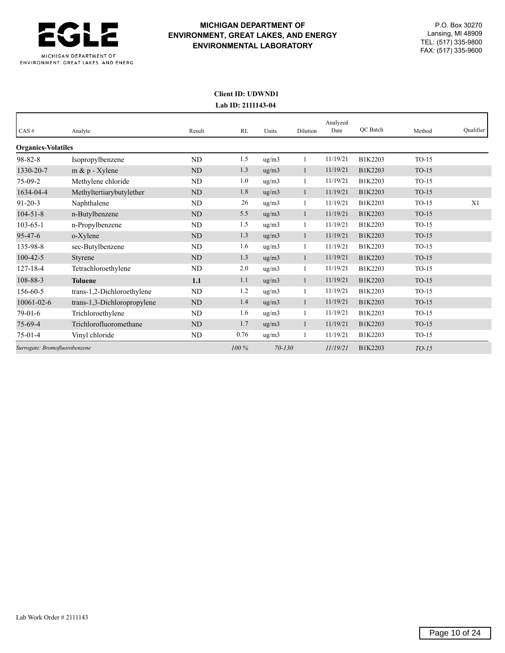

## **Client ID: UDWND1 Lab ID: 2111143-04**

| CAS#                          | Analyte                     | Result    | RL      | Units               | Dilution     | Analyzed<br>Date | <b>OC</b> Batch | Method  | Qualifier      |
|-------------------------------|-----------------------------|-----------|---------|---------------------|--------------|------------------|-----------------|---------|----------------|
| <b>Organics-Volatiles</b>     |                             |           |         |                     |              |                  |                 |         |                |
| $98 - 82 - 8$                 | Isopropylbenzene            | <b>ND</b> | 1.5     | ug/m3               |              | 11/19/21         | B1K2203         | $TO-15$ |                |
| 1330-20-7                     | $m \& p$ - Xylene           | <b>ND</b> | 1.3     | ug/m3               |              | 11/19/21         | B1K2203         | $TO-15$ |                |
| $75-09-2$                     | Methylene chloride          | <b>ND</b> | 1.0     | ug/m3               |              | 11/19/21         | B1K2203         | $TO-15$ |                |
| 1634-04-4                     | Methyltertiarybutylether    | <b>ND</b> | 1.8     | ug/m3               |              | 11/19/21         | B1K2203         | $TO-15$ |                |
| $91 - 20 - 3$                 | Naphthalene                 | <b>ND</b> | 26      | $\rm ug/m3$         |              | 11/19/21         | B1K2203         | $TO-15$ | X <sub>1</sub> |
| $104 - 51 - 8$                | n-Butylbenzene              | <b>ND</b> | 5.5     | ug/m3               |              | 11/19/21         | B1K2203         | $TO-15$ |                |
| $103 - 65 - 1$                | n-Propylbenzene             | ND        | 1.5     | ug/m3               |              | 11/19/21         | B1K2203         | $TO-15$ |                |
| $95 - 47 - 6$                 | o-Xylene                    | <b>ND</b> | 1.3     | ug/m3               | 1            | 11/19/21         | B1K2203         | $TO-15$ |                |
| 135-98-8                      | sec-Butylbenzene            | <b>ND</b> | 1.6     | ug/m3               |              | 11/19/21         | B1K2203         | $TO-15$ |                |
| $100 - 42 - 5$                | Styrene                     | <b>ND</b> | 1.3     | ug/m3               | -1           | 11/19/21         | B1K2203         | $TO-15$ |                |
| $127 - 18 - 4$                | Tetrachloroethylene         | ND        | 2.0     | $\mu$ g/m $\lambda$ |              | 11/19/21         | B1K2203         | $TO-15$ |                |
| 108-88-3                      | <b>Toluene</b>              | 1.1       | 1.1     | ug/m3               | 1            | 11/19/21         | B1K2203         | $TO-15$ |                |
| 156-60-5                      | trans-1,2-Dichloroethylene  | <b>ND</b> | 1.2     | ug/m3               |              | 11/19/21         | B1K2203         | $TO-15$ |                |
| $10061 - 02 - 6$              | trans-1,3-Dichloropropylene | <b>ND</b> | 1.4     | ug/m3               | $\mathbf{1}$ | 11/19/21         | B1K2203         | $TO-15$ |                |
| $79-01-6$                     | Trichloroethylene           | ND        | 1.6     | ug/m3               |              | 11/19/21         | B1K2203         | $TO-15$ |                |
| $75-69-4$                     | Trichlorofluoromethane      | ND        | 1.7     | ug/m3               |              | 11/19/21         | B1K2203         | $TO-15$ |                |
| $75-01-4$                     | Vinyl chloride              | ND        | 0.76    | ug/m3               | 1            | 11/19/21         | B1K2203         | $TO-15$ |                |
| Surrogate: Bromofluorobenzene |                             |           | $100\%$ | $70 - 130$          |              | 11/19/21         | B1K2203         | $TO-15$ |                |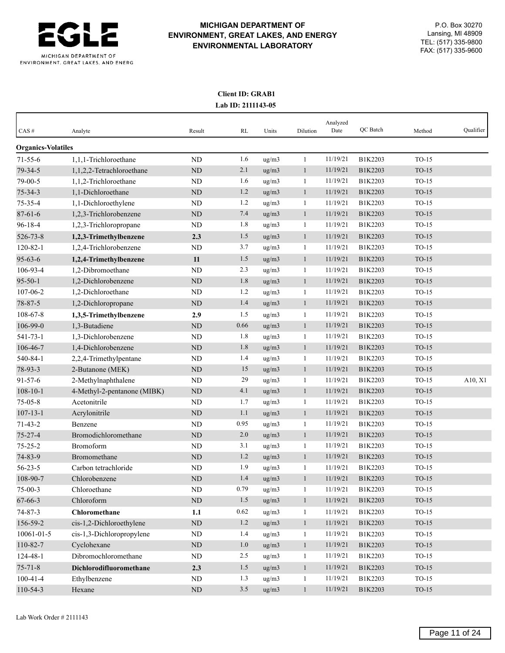

## **Client ID: GRAB1 Lab ID: 2111143-05**

| CAS#                      | Analyte                     | Result     | RL   | Units | Dilution     | Analyzed<br>Date | QC Batch | Method  | Qualifier |
|---------------------------|-----------------------------|------------|------|-------|--------------|------------------|----------|---------|-----------|
| <b>Organics-Volatiles</b> |                             |            |      |       |              |                  |          |         |           |
| $71 - 55 - 6$             | 1.1.1-Trichloroethane       | ND         | 1.6  | ug/m3 | $\mathbf{1}$ | 11/19/21         | B1K2203  | $TO-15$ |           |
| 79-34-5                   | 1,1,2,2-Tetrachloroethane   | $\rm ND$   | 2.1  | ug/m3 | $\mathbf{1}$ | 11/19/21         | B1K2203  | $TO-15$ |           |
| 79-00-5                   | 1,1,2-Trichloroethane       | ND         | 1.6  | ug/m3 | $\mathbf{1}$ | 11/19/21         | B1K2203  | $TO-15$ |           |
| $75 - 34 - 3$             | 1,1-Dichloroethane          | ND         | 1.2  | ug/m3 | $\mathbf{1}$ | 11/19/21         | B1K2203  | $TO-15$ |           |
| 75-35-4                   | 1,1-Dichloroethylene        | ND         | 1.2  | ug/m3 | $\mathbf{1}$ | 11/19/21         | B1K2203  | $TO-15$ |           |
| $87 - 61 - 6$             | 1,2,3-Trichlorobenzene      | ${\rm ND}$ | 7.4  | ug/m3 | $\mathbf{1}$ | 11/19/21         | B1K2203  | $TO-15$ |           |
| $96 - 18 - 4$             | 1,2,3-Trichloropropane      | ND         | 1.8  | ug/m3 | $\mathbf{1}$ | 11/19/21         | B1K2203  | $TO-15$ |           |
| 526-73-8                  | 1,2,3-Trimethylbenzene      | 2.3        | 1.5  | ug/m3 | $\mathbf{1}$ | 11/19/21         | B1K2203  | $TO-15$ |           |
| $120 - 82 - 1$            | 1,2,4-Trichlorobenzene      | ND         | 3.7  | ug/m3 | $\mathbf{1}$ | 11/19/21         | B1K2203  | $TO-15$ |           |
| $95 - 63 - 6$             | 1,2,4-Trimethylbenzene      | 11         | 1.5  | ug/m3 | $\mathbf{1}$ | 11/19/21         | B1K2203  | $TO-15$ |           |
| 106-93-4                  | 1,2-Dibromoethane           | ND         | 2.3  | ug/m3 | $\mathbf{1}$ | 11/19/21         | B1K2203  | $TO-15$ |           |
| $95 - 50 - 1$             | 1,2-Dichlorobenzene         | $\rm ND$   | 1.8  | ug/m3 | $\mathbf{1}$ | 11/19/21         | B1K2203  | $TO-15$ |           |
| 107-06-2                  | 1,2-Dichloroethane          | ND         | 1.2  | ug/m3 | $\mathbf{1}$ | 11/19/21         | B1K2203  | $TO-15$ |           |
| 78-87-5                   | 1,2-Dichloropropane         | ${\rm ND}$ | 1.4  | ug/m3 | $\mathbf{1}$ | 11/19/21         | B1K2203  | $TO-15$ |           |
| 108-67-8                  | 1,3,5-Trimethylbenzene      | 2.9        | 1.5  | ug/m3 | $\mathbf{1}$ | 11/19/21         | B1K2203  | $TO-15$ |           |
| 106-99-0                  | 1,3-Butadiene               | $\rm ND$   | 0.66 | ug/m3 | $\mathbf{1}$ | 11/19/21         | B1K2203  | $TO-15$ |           |
| $541 - 73 - 1$            | 1,3-Dichlorobenzene         | ND         | 1.8  | ug/m3 | $\mathbf{1}$ | 11/19/21         | B1K2203  | $TO-15$ |           |
| 106-46-7                  | 1,4-Dichlorobenzene         | ND         | 1.8  | ug/m3 | $\mathbf{1}$ | 11/19/21         | B1K2203  | $TO-15$ |           |
| 540-84-1                  | 2,2,4-Trimethylpentane      | ND         | 1.4  | ug/m3 | 1            | 11/19/21         | B1K2203  | $TO-15$ |           |
| 78-93-3                   | 2-Butanone (MEK)            | <b>ND</b>  | 15   | ug/m3 | $\mathbf{1}$ | 11/19/21         | B1K2203  | $TO-15$ |           |
| $91 - 57 - 6$             | 2-Methylnaphthalene         | ND         | 29   | ug/m3 | $\mathbf{1}$ | 11/19/21         | B1K2203  | $TO-15$ | A10, X1   |
| $108 - 10 - 1$            | 4-Methyl-2-pentanone (MIBK) | ND         | 4.1  | ug/m3 | $\mathbf{1}$ | 11/19/21         | B1K2203  | $TO-15$ |           |
| $75 - 05 - 8$             | Acetonitrile                | ND         | 1.7  | ug/m3 | $\mathbf{1}$ | 11/19/21         | B1K2203  | $TO-15$ |           |
| $107 - 13 - 1$            | Acrylonitrile               | ND         | 1.1  | ug/m3 | $\mathbf{1}$ | 11/19/21         | B1K2203  | $TO-15$ |           |
| $71 - 43 - 2$             | Benzene                     | ND         | 0.95 | ug/m3 | $\mathbf{1}$ | 11/19/21         | B1K2203  | $TO-15$ |           |
| $75 - 27 - 4$             | Bromodichloromethane        | $\rm ND$   | 2.0  | ug/m3 | $\mathbf{1}$ | 11/19/21         | B1K2203  | $TO-15$ |           |
| $75 - 25 - 2$             | <b>Bromoform</b>            | ND         | 3.1  | ug/m3 | $\mathbf{1}$ | 11/19/21         | B1K2203  | $TO-15$ |           |
| 74-83-9                   | Bromomethane                | ND         | 1.2  | ug/m3 | $\mathbf{1}$ | 11/19/21         | B1K2203  | $TO-15$ |           |
| $56 - 23 - 5$             | Carbon tetrachloride        | ND         | 1.9  | ug/m3 | $\mathbf{1}$ | 11/19/21         | B1K2203  | $TO-15$ |           |
| 108-90-7                  | Chlorobenzene               | <b>ND</b>  | 1.4  | ug/m3 | $\mathbf{1}$ | 11/19/21         | B1K2203  | $TO-15$ |           |
| $75-00-3$                 | Chloroethane                | ND         | 0.79 | ug/m3 | $\mathbf{1}$ | 11/19/21         | B1K2203  | $TO-15$ |           |
| 67-66-3                   | Chloroform                  | $\rm ND$   | 1.5  | ug/m3 | $\mathbf{1}$ | 11/19/21         | B1K2203  | $TO-15$ |           |
| $74 - 87 - 3$             | Chloromethane               | 1.1        | 0.62 | ug/m3 | $\mathbf{1}$ | 11/19/21         | B1K2203  | $TO-15$ |           |
| 156-59-2                  | cis-1,2-Dichloroethylene    | ${\rm ND}$ | 1.2  | ug/m3 | $\mathbf{1}$ | 11/19/21         | B1K2203  | $TO-15$ |           |
| 10061-01-5                | cis-1,3-Dichloropropylene   | ND         | 1.4  | ug/m3 | $\mathbf{1}$ | 11/19/21         | B1K2203  | $TO-15$ |           |
| 110-82-7                  | Cyclohexane                 | $\rm ND$   | 1.0  | ug/m3 | $\mathbf{1}$ | 11/19/21         | B1K2203  | $TO-15$ |           |
| 124-48-1                  | Dibromochloromethane        | ND         | 2.5  | ug/m3 | $\mathbf{1}$ | 11/19/21         | B1K2203  | $TO-15$ |           |
| $75 - 71 - 8$             | Dichlorodifluoromethane     | 2.3        | 1.5  | ug/m3 | $\mathbf{1}$ | 11/19/21         | B1K2203  | $TO-15$ |           |
| $100 - 41 - 4$            | Ethylbenzene                | $\rm ND$   | 1.3  | ug/m3 | $\mathbf{1}$ | 11/19/21         | B1K2203  | $TO-15$ |           |
| 110-54-3                  | Hexane                      | $\rm ND$   | 3.5  | ug/m3 | $\mathbf{1}$ | 11/19/21         | B1K2203  | $TO-15$ |           |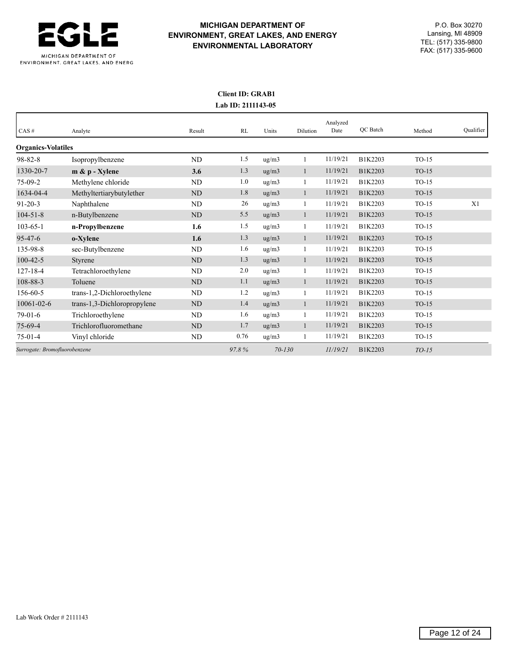

## **Client ID: GRAB1 Lab ID: 2111143-05**

|                               |                             |           |       |            |              | Analyzed<br>Date | <b>OC</b> Batch |         | Qualifier |
|-------------------------------|-----------------------------|-----------|-------|------------|--------------|------------------|-----------------|---------|-----------|
| CAS#                          | Analyte                     | Result    | RL    | Units      | Dilution     |                  |                 | Method  |           |
| <b>Organics-Volatiles</b>     |                             |           |       |            |              |                  |                 |         |           |
| $98 - 82 - 8$                 | Isopropylbenzene            | <b>ND</b> | 1.5   | ug/m3      |              | 11/19/21         | B1K2203         | $TO-15$ |           |
| 1330-20-7                     | $m \& p$ - Xylene           | 3.6       | 1.3   | ug/m3      | -1           | 11/19/21         | B1K2203         | $TO-15$ |           |
| $75-09-2$                     | Methylene chloride          | ND        | 1.0   | ug/m3      |              | 11/19/21         | B1K2203         | $TO-15$ |           |
| 1634-04-4                     | Methyltertiarybutylether    | <b>ND</b> | 1.8   | ug/m3      | 1            | 11/19/21         | B1K2203         | $TO-15$ |           |
| $91 - 20 - 3$                 | Naphthalene                 | <b>ND</b> | 26    | ug/m3      |              | 11/19/21         | B1K2203         | $TO-15$ | X1        |
| $104 - 51 - 8$                | n-Butylbenzene              | <b>ND</b> | 5.5   | ug/m3      | $\mathbf{1}$ | 11/19/21         | B1K2203         | $TO-15$ |           |
| $103 - 65 - 1$                | n-Propylbenzene             | 1.6       | 1.5   | ug/m3      |              | 11/19/21         | B1K2203         | $TO-15$ |           |
| $95 - 47 - 6$                 | o-Xylene                    | 1.6       | 1.3   | ug/m3      |              | 11/19/21         | B1K2203         | $TO-15$ |           |
| 135-98-8                      | sec-Butylbenzene            | <b>ND</b> | 1.6   | ug/m3      |              | 11/19/21         | B1K2203         | $TO-15$ |           |
| $100 - 42 - 5$                | Styrene                     | <b>ND</b> | 1.3   | ug/m3      |              | 11/19/21         | B1K2203         | $TO-15$ |           |
| 127-18-4                      | Tetrachloroethylene         | <b>ND</b> | 2.0   | ug/m3      |              | 11/19/21         | B1K2203         | $TO-15$ |           |
| 108-88-3                      | Toluene                     | <b>ND</b> | 1.1   | ug/m3      | 1            | 11/19/21         | B1K2203         | $TO-15$ |           |
| 156-60-5                      | trans-1,2-Dichloroethylene  | <b>ND</b> | 1.2   | ug/m3      | $\mathbf{1}$ | 11/19/21         | B1K2203         | $TO-15$ |           |
| $10061 - 02 - 6$              | trans-1,3-Dichloropropylene | <b>ND</b> | 1.4   | ug/m3      |              | 11/19/21         | B1K2203         | $TO-15$ |           |
| $79-01-6$                     | Trichloroethylene           | ND        | 1.6   | ug/m3      |              | 11/19/21         | B1K2203         | $TO-15$ |           |
| $75-69-4$                     | Trichlorofluoromethane      | <b>ND</b> | 1.7   | ug/m3      |              | 11/19/21         | B1K2203         | $TO-15$ |           |
| $75-01-4$                     | Vinyl chloride              | ND        | 0.76  | ug/m3      | 1            | 11/19/21         | B1K2203         | $TO-15$ |           |
| Surrogate: Bromofluorobenzene |                             |           | 97.8% | $70 - 130$ |              | 11/19/21         | B1K2203         | $TO-15$ |           |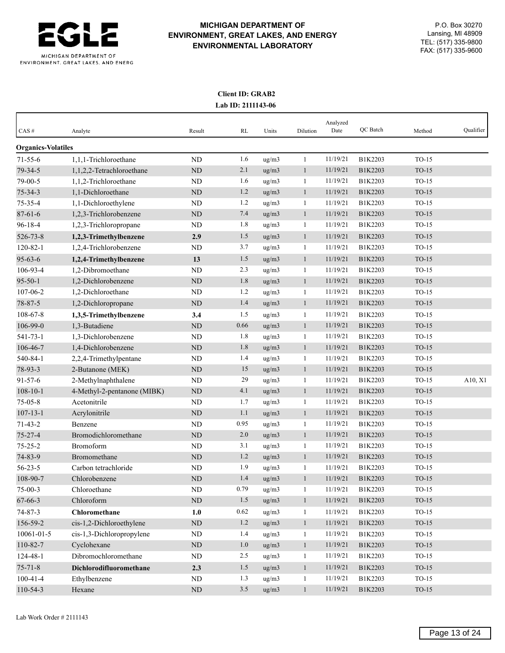

## **Client ID: GRAB2 Lab ID: 2111143-06**

| CAS#                      | Analyte                     | Result     | RL   | Units | Dilution     | Analyzed<br>Date | QC Batch | Method  | Qualifier |
|---------------------------|-----------------------------|------------|------|-------|--------------|------------------|----------|---------|-----------|
| <b>Organics-Volatiles</b> |                             |            |      |       |              |                  |          |         |           |
| $71 - 55 - 6$             | 1.1.1-Trichloroethane       | ND         | 1.6  | ug/m3 | $\mathbf{1}$ | 11/19/21         | B1K2203  | $TO-15$ |           |
| 79-34-5                   | 1,1,2,2-Tetrachloroethane   | $\rm ND$   | 2.1  | ug/m3 | $\mathbf{1}$ | 11/19/21         | B1K2203  | $TO-15$ |           |
| 79-00-5                   | 1,1,2-Trichloroethane       | ND         | 1.6  | ug/m3 | $\mathbf{1}$ | 11/19/21         | B1K2203  | $TO-15$ |           |
| $75 - 34 - 3$             | 1,1-Dichloroethane          | ND         | 1.2  | ug/m3 | $\mathbf{1}$ | 11/19/21         | B1K2203  | $TO-15$ |           |
| 75-35-4                   | 1,1-Dichloroethylene        | ND         | 1.2  | ug/m3 | $\mathbf{1}$ | 11/19/21         | B1K2203  | $TO-15$ |           |
| $87 - 61 - 6$             | 1,2,3-Trichlorobenzene      | ${\rm ND}$ | 7.4  | ug/m3 | $\mathbf{1}$ | 11/19/21         | B1K2203  | $TO-15$ |           |
| $96 - 18 - 4$             | 1,2,3-Trichloropropane      | ND         | 1.8  | ug/m3 | $\mathbf{1}$ | 11/19/21         | B1K2203  | $TO-15$ |           |
| 526-73-8                  | 1,2,3-Trimethylbenzene      | 2.9        | 1.5  | ug/m3 | $\mathbf{1}$ | 11/19/21         | B1K2203  | $TO-15$ |           |
| $120 - 82 - 1$            | 1,2,4-Trichlorobenzene      | ND         | 3.7  | ug/m3 | $\mathbf{1}$ | 11/19/21         | B1K2203  | $TO-15$ |           |
| $95 - 63 - 6$             | 1,2,4-Trimethylbenzene      | 13         | 1.5  | ug/m3 | $\mathbf{1}$ | 11/19/21         | B1K2203  | $TO-15$ |           |
| 106-93-4                  | 1,2-Dibromoethane           | ND         | 2.3  | ug/m3 | $\mathbf{1}$ | 11/19/21         | B1K2203  | $TO-15$ |           |
| $95 - 50 - 1$             | 1,2-Dichlorobenzene         | $\rm ND$   | 1.8  | ug/m3 | $\mathbf{1}$ | 11/19/21         | B1K2203  | $TO-15$ |           |
| 107-06-2                  | 1,2-Dichloroethane          | ND         | 1.2  | ug/m3 | $\mathbf{1}$ | 11/19/21         | B1K2203  | $TO-15$ |           |
| 78-87-5                   | 1,2-Dichloropropane         | ${\rm ND}$ | 1.4  | ug/m3 | $\mathbf{1}$ | 11/19/21         | B1K2203  | $TO-15$ |           |
| 108-67-8                  | 1,3,5-Trimethylbenzene      | 3.4        | 1.5  | ug/m3 | $\mathbf{1}$ | 11/19/21         | B1K2203  | $TO-15$ |           |
| 106-99-0                  | 1,3-Butadiene               | $\rm ND$   | 0.66 | ug/m3 | $\mathbf{1}$ | 11/19/21         | B1K2203  | $TO-15$ |           |
| $541 - 73 - 1$            | 1,3-Dichlorobenzene         | ND         | 1.8  | ug/m3 | $\mathbf{1}$ | 11/19/21         | B1K2203  | $TO-15$ |           |
| 106-46-7                  | 1,4-Dichlorobenzene         | ND         | 1.8  | ug/m3 | $\mathbf{1}$ | 11/19/21         | B1K2203  | $TO-15$ |           |
| 540-84-1                  | 2,2,4-Trimethylpentane      | ND         | 1.4  | ug/m3 | 1            | 11/19/21         | B1K2203  | $TO-15$ |           |
| 78-93-3                   | 2-Butanone (MEK)            | <b>ND</b>  | 15   | ug/m3 | $\mathbf{1}$ | 11/19/21         | B1K2203  | $TO-15$ |           |
| $91 - 57 - 6$             | 2-Methylnaphthalene         | ND         | 29   | ug/m3 | $\mathbf{1}$ | 11/19/21         | B1K2203  | $TO-15$ | A10, X1   |
| $108 - 10 - 1$            | 4-Methyl-2-pentanone (MIBK) | ND         | 4.1  | ug/m3 | $\mathbf{1}$ | 11/19/21         | B1K2203  | $TO-15$ |           |
| $75 - 05 - 8$             | Acetonitrile                | ND         | 1.7  | ug/m3 | $\mathbf{1}$ | 11/19/21         | B1K2203  | $TO-15$ |           |
| $107 - 13 - 1$            | Acrylonitrile               | ND         | 1.1  | ug/m3 | $\mathbf{1}$ | 11/19/21         | B1K2203  | $TO-15$ |           |
| $71 - 43 - 2$             | Benzene                     | ND         | 0.95 | ug/m3 | $\mathbf{1}$ | 11/19/21         | B1K2203  | $TO-15$ |           |
| $75 - 27 - 4$             | Bromodichloromethane        | $\rm ND$   | 2.0  | ug/m3 | $\mathbf{1}$ | 11/19/21         | B1K2203  | $TO-15$ |           |
| $75 - 25 - 2$             | <b>Bromoform</b>            | ND         | 3.1  | ug/m3 | $\mathbf{1}$ | 11/19/21         | B1K2203  | $TO-15$ |           |
| 74-83-9                   | Bromomethane                | ND         | 1.2  | ug/m3 | $\mathbf{1}$ | 11/19/21         | B1K2203  | $TO-15$ |           |
| $56 - 23 - 5$             | Carbon tetrachloride        | ND         | 1.9  | ug/m3 | $\mathbf{1}$ | 11/19/21         | B1K2203  | $TO-15$ |           |
| 108-90-7                  | Chlorobenzene               | <b>ND</b>  | 1.4  | ug/m3 | $\mathbf{1}$ | 11/19/21         | B1K2203  | $TO-15$ |           |
| $75-00-3$                 | Chloroethane                | ND         | 0.79 | ug/m3 | $\mathbf{1}$ | 11/19/21         | B1K2203  | $TO-15$ |           |
| 67-66-3                   | Chloroform                  | $\rm ND$   | 1.5  | ug/m3 | $\mathbf{1}$ | 11/19/21         | B1K2203  | $TO-15$ |           |
| $74 - 87 - 3$             | Chloromethane               | 1.0        | 0.62 | ug/m3 | $\mathbf{1}$ | 11/19/21         | B1K2203  | $TO-15$ |           |
| 156-59-2                  | cis-1,2-Dichloroethylene    | ${\rm ND}$ | 1.2  | ug/m3 | $\mathbf{1}$ | 11/19/21         | B1K2203  | $TO-15$ |           |
| 10061-01-5                | cis-1,3-Dichloropropylene   | ND         | 1.4  | ug/m3 | $\mathbf{1}$ | 11/19/21         | B1K2203  | $TO-15$ |           |
| 110-82-7                  | Cyclohexane                 | $\rm ND$   | 1.0  | ug/m3 | $\mathbf{1}$ | 11/19/21         | B1K2203  | $TO-15$ |           |
| 124-48-1                  | Dibromochloromethane        | ND         | 2.5  | ug/m3 | $\mathbf{1}$ | 11/19/21         | B1K2203  | $TO-15$ |           |
| $75 - 71 - 8$             | Dichlorodifluoromethane     | 2.3        | 1.5  | ug/m3 | $\mathbf{1}$ | 11/19/21         | B1K2203  | $TO-15$ |           |
| $100 - 41 - 4$            | Ethylbenzene                | $\rm ND$   | 1.3  | ug/m3 | $\mathbf{1}$ | 11/19/21         | B1K2203  | $TO-15$ |           |
| 110-54-3                  | Hexane                      | $\rm ND$   | 3.5  | ug/m3 | $\mathbf{1}$ | 11/19/21         | B1K2203  | $TO-15$ |           |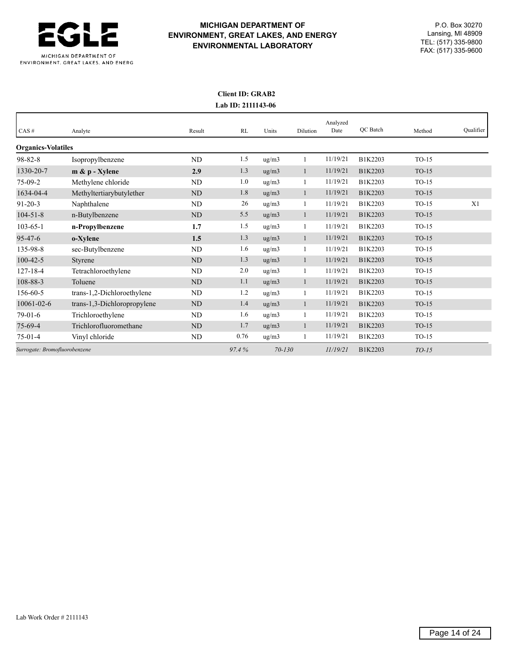

## **Client ID: GRAB2 Lab ID: 2111143-06**

|                               |                             |           |       |            |              | Analyzed |          |         |           |
|-------------------------------|-----------------------------|-----------|-------|------------|--------------|----------|----------|---------|-----------|
| CAS#                          | Analyte                     | Result    | RL    | Units      | Dilution     | Date     | QC Batch | Method  | Qualifier |
| <b>Organics-Volatiles</b>     |                             |           |       |            |              |          |          |         |           |
| $98 - 82 - 8$                 | Isopropylbenzene            | <b>ND</b> | 1.5   | ug/m3      |              | 11/19/21 | B1K2203  | $TO-15$ |           |
| 1330-20-7                     | $m \& p$ - Xylene           | 2.9       | 1.3   | ug/m3      | -1           | 11/19/21 | B1K2203  | $TO-15$ |           |
| $75-09-2$                     | Methylene chloride          | ND        | 1.0   | ug/m3      |              | 11/19/21 | B1K2203  | $TO-15$ |           |
| 1634-04-4                     | Methyltertiarybutylether    | <b>ND</b> | 1.8   | ug/m3      | 1            | 11/19/21 | B1K2203  | $TO-15$ |           |
| $91 - 20 - 3$                 | Naphthalene                 | <b>ND</b> | 26    | ug/m3      |              | 11/19/21 | B1K2203  | $TO-15$ | X1        |
| $104 - 51 - 8$                | n-Butylbenzene              | <b>ND</b> | 5.5   | ug/m3      | $\mathbf{1}$ | 11/19/21 | B1K2203  | $TO-15$ |           |
| $103 - 65 - 1$                | n-Propylbenzene             | 1.7       | 1.5   | ug/m3      |              | 11/19/21 | B1K2203  | $TO-15$ |           |
| $95 - 47 - 6$                 | o-Xylene                    | 1.5       | 1.3   | ug/m3      |              | 11/19/21 | B1K2203  | $TO-15$ |           |
| 135-98-8                      | sec-Butylbenzene            | <b>ND</b> | 1.6   | ug/m3      |              | 11/19/21 | B1K2203  | $TO-15$ |           |
| $100 - 42 - 5$                | Styrene                     | <b>ND</b> | 1.3   | ug/m3      |              | 11/19/21 | B1K2203  | $TO-15$ |           |
| $127 - 18 - 4$                | Tetrachloroethylene         | <b>ND</b> | 2.0   | ug/m3      |              | 11/19/21 | B1K2203  | $TO-15$ |           |
| 108-88-3                      | Toluene                     | ND        | 1.1   | ug/m3      | 1            | 11/19/21 | B1K2203  | $TO-15$ |           |
| 156-60-5                      | trans-1,2-Dichloroethylene  | <b>ND</b> | 1.2   | ug/m3      | -1           | 11/19/21 | B1K2203  | $TO-15$ |           |
| 10061-02-6                    | trans-1,3-Dichloropropylene | <b>ND</b> | 1.4   | ug/m3      |              | 11/19/21 | B1K2203  | $TO-15$ |           |
| $79-01-6$                     | Trichloroethylene           | ND        | 1.6   | ug/m3      |              | 11/19/21 | B1K2203  | $TO-15$ |           |
| $75-69-4$                     | Trichlorofluoromethane      | <b>ND</b> | 1.7   | ug/m3      |              | 11/19/21 | B1K2203  | $TO-15$ |           |
| $75-01-4$                     | Vinyl chloride              | ND        | 0.76  | ug/m3      |              | 11/19/21 | B1K2203  | $TO-15$ |           |
| Surrogate: Bromofluorobenzene |                             |           | 97.4% | $70 - 130$ |              | 11/19/21 | B1K2203  | $TO-15$ |           |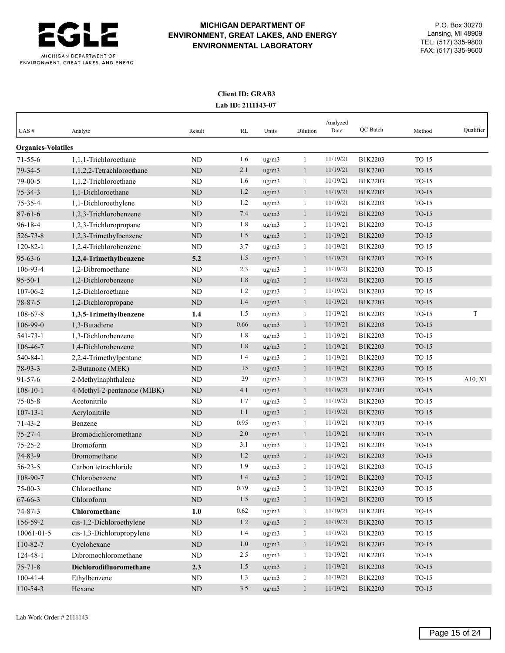

## **Client ID: GRAB3 Lab ID: 2111143-07**

| CAS#                      | Analyte                     | Result      | RL   | Units              | Dilution     | Analyzed<br>Date | QC Batch | Method  | Qualifier |
|---------------------------|-----------------------------|-------------|------|--------------------|--------------|------------------|----------|---------|-----------|
| <b>Organics-Volatiles</b> |                             |             |      |                    |              |                  |          |         |           |
| $71 - 55 - 6$             | 1,1,1-Trichloroethane       | <b>ND</b>   | 1.6  | ug/m3              | 1            | 11/19/21         | B1K2203  | $TO-15$ |           |
| 79-34-5                   | 1,1,2,2-Tetrachloroethane   | <b>ND</b>   | 2.1  | ug/m3              | $\mathbf{1}$ | 11/19/21         | B1K2203  | $TO-15$ |           |
| 79-00-5                   | 1,1,2-Trichloroethane       | <b>ND</b>   | 1.6  | ug/m3              | 1            | 11/19/21         | B1K2203  | $TO-15$ |           |
| $75 - 34 - 3$             | 1,1-Dichloroethane          | <b>ND</b>   | 1.2  | $\frac{u}{g}}{m3}$ | $\mathbf{1}$ | 11/19/21         | B1K2203  | $TO-15$ |           |
| $75 - 35 - 4$             | 1,1-Dichloroethylene        | ND          | 1.2  | ug/m3              | $\mathbf{1}$ | 11/19/21         | B1K2203  | $TO-15$ |           |
| $87 - 61 - 6$             | 1,2,3-Trichlorobenzene      | <b>ND</b>   | 7.4  | ug/m3              | $\mathbf{1}$ | 11/19/21         | B1K2203  | $TO-15$ |           |
| $96 - 18 - 4$             | 1,2,3-Trichloropropane      | ND          | 1.8  | ug/m3              | 1            | 11/19/21         | B1K2203  | TO-15   |           |
| 526-73-8                  | 1,2,3-Trimethylbenzene      | ND          | 1.5  | ug/m3              | $\mathbf{1}$ | 11/19/21         | B1K2203  | $TO-15$ |           |
| $120 - 82 - 1$            | 1,2,4-Trichlorobenzene      | <b>ND</b>   | 3.7  | ug/m3              | 1            | 11/19/21         | B1K2203  | $TO-15$ |           |
| $95 - 63 - 6$             | 1,2,4-Trimethylbenzene      | 5.2         | 1.5  | ug/m3              | $\mathbf{1}$ | 11/19/21         | B1K2203  | $TO-15$ |           |
| 106-93-4                  | 1,2-Dibromoethane           | <b>ND</b>   | 2.3  | ug/m3              | 1            | 11/19/21         | B1K2203  | TO-15   |           |
| $95 - 50 - 1$             | 1,2-Dichlorobenzene         | ND          | 1.8  | ug/m3              | $\mathbf{1}$ | 11/19/21         | B1K2203  | $TO-15$ |           |
| 107-06-2                  | 1,2-Dichloroethane          | <b>ND</b>   | 1.2  | ug/m3              | 1            | 11/19/21         | B1K2203  | $TO-15$ |           |
| 78-87-5                   | 1,2-Dichloropropane         | ND          | 1.4  | ug/m3              | $\mathbf{1}$ | 11/19/21         | B1K2203  | $TO-15$ |           |
| 108-67-8                  | 1,3,5-Trimethylbenzene      | 1.4         | 1.5  | ug/m3              | 1            | 11/19/21         | B1K2203  | $TO-15$ | T         |
| 106-99-0                  | 1,3-Butadiene               | ND          | 0.66 | ug/m3              | $\mathbf{1}$ | 11/19/21         | B1K2203  | $TO-15$ |           |
| 541-73-1                  | 1,3-Dichlorobenzene         | ND          | 1.8  | ug/m3              | 1            | 11/19/21         | B1K2203  | $TO-15$ |           |
| 106-46-7                  | 1,4-Dichlorobenzene         | <b>ND</b>   | 1.8  | ug/m3              | $\mathbf{1}$ | 11/19/21         | B1K2203  | $TO-15$ |           |
| 540-84-1                  | 2,2,4-Trimethylpentane      | ND          | 1.4  | ug/m3              | 1            | 11/19/21         | B1K2203  | $TO-15$ |           |
| 78-93-3                   | 2-Butanone (MEK)            | <b>ND</b>   | 15   | ug/m3              | $\mathbf{1}$ | 11/19/21         | B1K2203  | $TO-15$ |           |
| $91 - 57 - 6$             | 2-Methylnaphthalene         | <b>ND</b>   | 29   | $\frac{u}{g}}{m3}$ | 1            | 11/19/21         | B1K2203  | $TO-15$ | A10, X1   |
| $108 - 10 - 1$            | 4-Methyl-2-pentanone (MIBK) | <b>ND</b>   | 4.1  | ug/m3              | $\mathbf{1}$ | 11/19/21         | B1K2203  | $TO-15$ |           |
| $75 - 05 - 8$             | Acetonitrile                | ND          | 1.7  | ug/m3              | 1            | 11/19/21         | B1K2203  | $TO-15$ |           |
| $107 - 13 - 1$            | Acrylonitrile               | <b>ND</b>   | 1.1  | ug/m3              | $\mathbf{1}$ | 11/19/21         | B1K2203  | $TO-15$ |           |
| $71 - 43 - 2$             | Benzene                     | ND          | 0.95 | ug/m3              | 1            | 11/19/21         | B1K2203  | $TO-15$ |           |
| $75 - 27 - 4$             | Bromodichloromethane        | <b>ND</b>   | 2.0  | ug/m3              | $\mathbf{1}$ | 11/19/21         | B1K2203  | $TO-15$ |           |
| $75 - 25 - 2$             | Bromoform                   | <b>ND</b>   | 3.1  | ug/m3              | $\mathbf{1}$ | 11/19/21         | B1K2203  | $TO-15$ |           |
| 74-83-9                   | Bromomethane                | ND          | 1.2  | ug/m3              | $\mathbf{1}$ | 11/19/21         | B1K2203  | $TO-15$ |           |
| $56 - 23 - 5$             | Carbon tetrachloride        | <b>ND</b>   | 1.9  | ug/m3              | 1            | 11/19/21         | B1K2203  | $TO-15$ |           |
| 108-90-7                  | Chlorobenzene               | <b>ND</b>   | 1.4  | ug/m3              | $\mathbf{1}$ | 11/19/21         | B1K2203  | $TO-15$ |           |
| $75-00-3$                 | Chloroethane                | ND          | 0.79 | ug/m3              | $\mathbf{1}$ | 11/19/21         | B1K2203  | $TO-15$ |           |
| 67-66-3                   | Chloroform                  | $\rm ND$    | 1.5  | ug/m3              | $\mathbf{1}$ | 11/19/21         | B1K2203  | $TO-15$ |           |
| $74 - 87 - 3$             | Chloromethane               | 1.0         | 0.62 | ug/m3              | $\mathbf{1}$ | 11/19/21         | B1K2203  | $TO-15$ |           |
| 156-59-2                  | cis-1,2-Dichloroethylene    | $\rm ND$    | 1.2  | ug/m3              | $\mathbf{1}$ | 11/19/21         | B1K2203  | $TO-15$ |           |
| $10061 - 01 - 5$          | cis-1,3-Dichloropropylene   | ND          | 1.4  | ug/m3              | $\mathbf{1}$ | 11/19/21         | B1K2203  | $TO-15$ |           |
| 110-82-7                  | Cyclohexane                 | $\rm ND$    | 1.0  | ug/m3              | $\mathbf{1}$ | 11/19/21         | B1K2203  | $TO-15$ |           |
| 124-48-1                  | Dibromochloromethane        | ND          | 2.5  | ug/m3              | $\mathbf{1}$ | 11/19/21         | B1K2203  | $TO-15$ |           |
| $75 - 71 - 8$             | Dichlorodifluoromethane     | 2.3         | 1.5  | ug/m3              | $\mathbf{1}$ | 11/19/21         | B1K2203  | $TO-15$ |           |
| $100 - 41 - 4$            | Ethylbenzene                | ND          | 1.3  | ug/m3              | $\mathbf{1}$ | 11/19/21         | B1K2203  | $TO-15$ |           |
| 110-54-3                  | Hexane                      | $\mbox{ND}$ | 3.5  | ug/m3              | $\mathbf{1}$ | 11/19/21         | B1K2203  | $TO-15$ |           |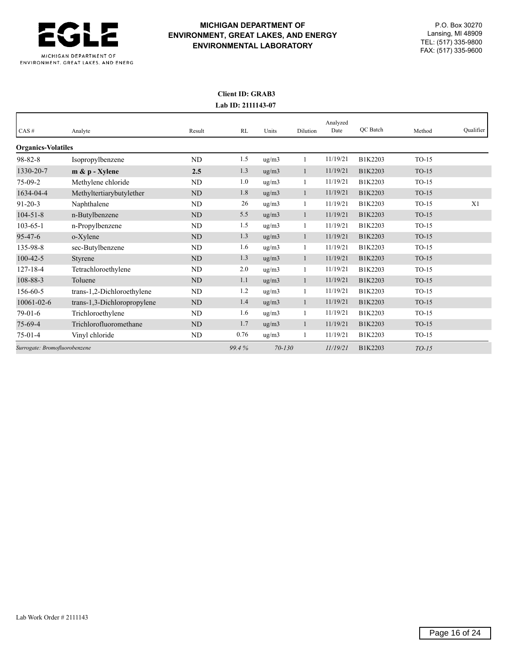

## **Client ID: GRAB3 Lab ID: 2111143-07**

| CAS#                          | Analyte                     | Result    | RL    | Units               | Dilution     | Analyzed<br>Date | <b>OC</b> Batch | Method  | Qualifier |
|-------------------------------|-----------------------------|-----------|-------|---------------------|--------------|------------------|-----------------|---------|-----------|
| <b>Organics-Volatiles</b>     |                             |           |       |                     |              |                  |                 |         |           |
| $98 - 82 - 8$                 | Isopropylbenzene            | ND        | 1.5   | ug/m3               |              | 11/19/21         | B1K2203         | $TO-15$ |           |
| 1330-20-7                     | $m \& p$ - Xylene           | 2.5       | 1.3   | ug/m3               | $\mathbf{1}$ | 11/19/21         | B1K2203         | $TO-15$ |           |
| $75-09-2$                     | Methylene chloride          | ND        | 1.0   | ug/m3               | 1            | 11/19/21         | B1K2203         | $TO-15$ |           |
| 1634-04-4                     | Methyltertiarybutylether    | ND        | 1.8   | ug/m3               | $\mathbf{1}$ | 11/19/21         | B1K2203         | $TO-15$ |           |
| $91 - 20 - 3$                 | Naphthalene                 | ND        | 26    | ug/m3               |              | 11/19/21         | B1K2203         | $TO-15$ | X1        |
| $104 - 51 - 8$                | n-Butylbenzene              | ND        | 5.5   | ug/m3               | 1            | 11/19/21         | B1K2203         | $TO-15$ |           |
| $103 - 65 - 1$                | n-Propylbenzene             | ND        | 1.5   | $\mu$ g/m $\lambda$ | $\mathbf{1}$ | 11/19/21         | B1K2203         | $TO-15$ |           |
| $95 - 47 - 6$                 | o-Xylene                    | ND        | 1.3   | ug/m3               | $\mathbf{1}$ | 11/19/21         | B1K2203         | $TO-15$ |           |
| 135-98-8                      | sec-Butylbenzene            | ND        | 1.6   | ug/m3               | 1            | 11/19/21         | B1K2203         | $TO-15$ |           |
| $100 - 42 - 5$                | Styrene                     | <b>ND</b> | 1.3   | ug/m3               | $\mathbf{1}$ | 11/19/21         | B1K2203         | $TO-15$ |           |
| $127 - 18 - 4$                | Tetrachloroethylene         | ND        | 2.0   | ug/m3               | 1            | 11/19/21         | B1K2203         | $TO-15$ |           |
| 108-88-3                      | Toluene                     | ND        | 1.1   | ug/m3               | $\mathbf{1}$ | 11/19/21         | B1K2203         | $TO-15$ |           |
| 156-60-5                      | trans-1,2-Dichloroethylene  | ND        | 1.2   | ug/m3               |              | 11/19/21         | B1K2203         | $TO-15$ |           |
| $10061 - 02 - 6$              | trans-1,3-Dichloropropylene | ND        | 1.4   | ug/m3               | $\mathbf{1}$ | 11/19/21         | B1K2203         | $TO-15$ |           |
| $79-01-6$                     | Trichloroethylene           | ND        | 1.6   | ug/m3               | 1            | 11/19/21         | B1K2203         | $TO-15$ |           |
| $75-69-4$                     | Trichlorofluoromethane      | ND        | 1.7   | ug/m3               | $\mathbf{1}$ | 11/19/21         | B1K2203         | $TO-15$ |           |
| $75-01-4$                     | Vinyl chloride              | ND        | 0.76  | ug/m3               | $\mathbf{1}$ | 11/19/21         | B1K2203         | $TO-15$ |           |
| Surrogate: Bromofluorobenzene |                             |           | 99.4% | $70 - 130$          |              | 11/19/21         | B1K2203         | $TO-15$ |           |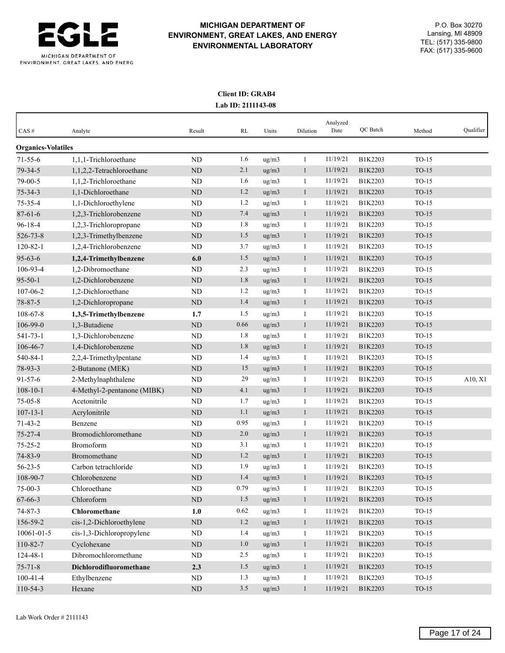

## **Client ID: GRAB4 Lab ID: 2111143-08**

| CAS#                      | Analyte                     | Result         | RL      | Units | Dilution     | Analyzed<br>Date | QC Batch | Method  | Qualifier |
|---------------------------|-----------------------------|----------------|---------|-------|--------------|------------------|----------|---------|-----------|
| <b>Organics-Volatiles</b> |                             |                |         |       |              |                  |          |         |           |
| $71 - 55 - 6$             | 1,1,1-Trichloroethane       | <b>ND</b>      | 1.6     | ug/m3 | 1            | 11/19/21         | B1K2203  | $TO-15$ |           |
| 79-34-5                   | 1,1,2,2-Tetrachloroethane   | <b>ND</b>      | 2.1     | ug/m3 | $\mathbf{1}$ | 11/19/21         | B1K2203  | $TO-15$ |           |
| 79-00-5                   | 1,1,2-Trichloroethane       | N <sub>D</sub> | 1.6     | ug/m3 | 1            | 11/19/21         | B1K2203  | $TO-15$ |           |
| $75 - 34 - 3$             | 1,1-Dichloroethane          | <b>ND</b>      | 1.2     | ug/m3 | $\mathbf{1}$ | 11/19/21         | B1K2203  | $TO-15$ |           |
| 75-35-4                   | 1,1-Dichloroethylene        | N <sub>D</sub> | 1.2     | ug/m3 | $\mathbf{1}$ | 11/19/21         | B1K2203  | $TO-15$ |           |
| $87 - 61 - 6$             | 1,2,3-Trichlorobenzene      | <b>ND</b>      | 7.4     | ug/m3 | $\mathbf{1}$ | 11/19/21         | B1K2203  | $TO-15$ |           |
| $96 - 18 - 4$             | 1,2,3-Trichloropropane      | ND             | 1.8     | ug/m3 | 1            | 11/19/21         | B1K2203  | TO-15   |           |
| 526-73-8                  | 1,2,3-Trimethylbenzene      | <b>ND</b>      | 1.5     | ug/m3 | $\mathbf{1}$ | 11/19/21         | B1K2203  | $TO-15$ |           |
| $120 - 82 - 1$            | 1,2,4-Trichlorobenzene      | N <sub>D</sub> | 3.7     | ug/m3 | 1            | 11/19/21         | B1K2203  | $TO-15$ |           |
| $95 - 63 - 6$             | 1,2,4-Trimethylbenzene      | 6.0            | 1.5     | ug/m3 | $\mathbf{1}$ | 11/19/21         | B1K2203  | $TO-15$ |           |
| 106-93-4                  | 1,2-Dibromoethane           | <b>ND</b>      | 2.3     | ug/m3 | 1            | 11/19/21         | B1K2203  | TO-15   |           |
| $95 - 50 - 1$             | 1,2-Dichlorobenzene         | <b>ND</b>      | 1.8     | ug/m3 | $\mathbf{1}$ | 11/19/21         | B1K2203  | $TO-15$ |           |
| 107-06-2                  | 1,2-Dichloroethane          | N <sub>D</sub> | 1.2     | ug/m3 | 1            | 11/19/21         | B1K2203  | $TO-15$ |           |
| 78-87-5                   | 1,2-Dichloropropane         | ND             | 1.4     | ug/m3 | $\mathbf{1}$ | 11/19/21         | B1K2203  | $TO-15$ |           |
| 108-67-8                  | 1,3,5-Trimethylbenzene      | 1.7            | 1.5     | ug/m3 | 1            | 11/19/21         | B1K2203  | TO-15   |           |
| 106-99-0                  | 1,3-Butadiene               | <b>ND</b>      | 0.66    | ug/m3 | $\mathbf{1}$ | 11/19/21         | B1K2203  | $TO-15$ |           |
| 541-73-1                  | 1.3-Dichlorobenzene         | N <sub>D</sub> | 1.8     | ug/m3 | 1            | 11/19/21         | B1K2203  | $TO-15$ |           |
| 106-46-7                  | 1,4-Dichlorobenzene         | <b>ND</b>      | 1.8     | ug/m3 | $\mathbf{1}$ | 11/19/21         | B1K2203  | $TO-15$ |           |
| 540-84-1                  | 2,2,4-Trimethylpentane      | ND             | 1.4     | ug/m3 | 1            | 11/19/21         | B1K2203  | $TO-15$ |           |
| 78-93-3                   | 2-Butanone (MEK)            | <b>ND</b>      | 15      | ug/m3 | $\mathbf{1}$ | 11/19/21         | B1K2203  | $TO-15$ |           |
| $91 - 57 - 6$             | 2-Methylnaphthalene         | ND             | 29      | ug/m3 | 1            | 11/19/21         | B1K2203  | $TO-15$ | A10, X1   |
| $108 - 10 - 1$            | 4-Methyl-2-pentanone (MIBK) | <b>ND</b>      | 4.1     | ug/m3 | $\mathbf{1}$ | 11/19/21         | B1K2203  | $TO-15$ |           |
| $75 - 05 - 8$             | Acetonitrile                | N <sub>D</sub> | 1.7     | ug/m3 | 1            | 11/19/21         | B1K2203  | $TO-15$ |           |
| $107 - 13 - 1$            | Acrylonitrile               | <b>ND</b>      | 1.1     | ug/m3 | $\mathbf{1}$ | 11/19/21         | B1K2203  | $TO-15$ |           |
| $71 - 43 - 2$             | Benzene                     | ND             | 0.95    | ug/m3 | 1            | 11/19/21         | B1K2203  | $TO-15$ |           |
| $75 - 27 - 4$             | Bromodichloromethane        | <b>ND</b>      | 2.0     | ug/m3 | $\mathbf{1}$ | 11/19/21         | B1K2203  | $TO-15$ |           |
| $75 - 25 - 2$             | Bromoform                   | N <sub>D</sub> | 3.1     | ug/m3 | $\mathbf{1}$ | 11/19/21         | B1K2203  | $TO-15$ |           |
| 74-83-9                   | Bromomethane                | <b>ND</b>      | 1.2     | ug/m3 | $\mathbf{1}$ | 11/19/21         | B1K2203  | $TO-15$ |           |
| $56 - 23 - 5$             | Carbon tetrachloride        | N <sub>D</sub> | 1.9     | ug/m3 | 1            | 11/19/21         | B1K2203  | $TO-15$ |           |
| 108-90-7                  | Chlorobenzene               | <b>ND</b>      | 1.4     | ug/m3 | $\mathbf{1}$ | 11/19/21         | B1K2203  | $TO-15$ |           |
| $75-00-3$                 | Chloroethane                | ND             | 0.79    | ug/m3 | $\mathbf{1}$ | 11/19/21         | B1K2203  | $TO-15$ |           |
| 67-66-3                   | Chloroform                  | $\rm ND$       | 1.5     | ug/m3 | $\mathbf{1}$ | 11/19/21         | B1K2203  | $TO-15$ |           |
| $74 - 87 - 3$             | Chloromethane               | 1.0            | 0.62    | ug/m3 | $\mathbf{1}$ | 11/19/21         | B1K2203  | $TO-15$ |           |
| 156-59-2                  | cis-1,2-Dichloroethylene    | $\rm ND$       | 1.2     | ug/m3 | $\mathbf{1}$ | 11/19/21         | B1K2203  | $TO-15$ |           |
| $10061 - 01 - 5$          | cis-1,3-Dichloropropylene   | ND             | 1.4     | ug/m3 | $\mathbf{1}$ | 11/19/21         | B1K2203  | $TO-15$ |           |
| 110-82-7                  | Cyclohexane                 | $\rm ND$       | 1.0     | ug/m3 | $\mathbf{1}$ | 11/19/21         | B1K2203  | TO-15   |           |
| 124-48-1                  | Dibromochloromethane        | ND             | $2.5\,$ | ug/m3 | $\mathbf{1}$ | 11/19/21         | B1K2203  | $TO-15$ |           |
| $75 - 71 - 8$             | Dichlorodifluoromethane     | 2.3            | 1.5     | ug/m3 | $\mathbf{1}$ | 11/19/21         | B1K2203  | $TO-15$ |           |
| $100 - 41 - 4$            | Ethylbenzene                | ND             | 1.3     | ug/m3 | $\mathbf{1}$ | 11/19/21         | B1K2203  | $TO-15$ |           |
| 110-54-3                  | Hexane                      | $\rm ND$       | 3.5     | ug/m3 | $\mathbf{1}$ | 11/19/21         | B1K2203  | $TO-15$ |           |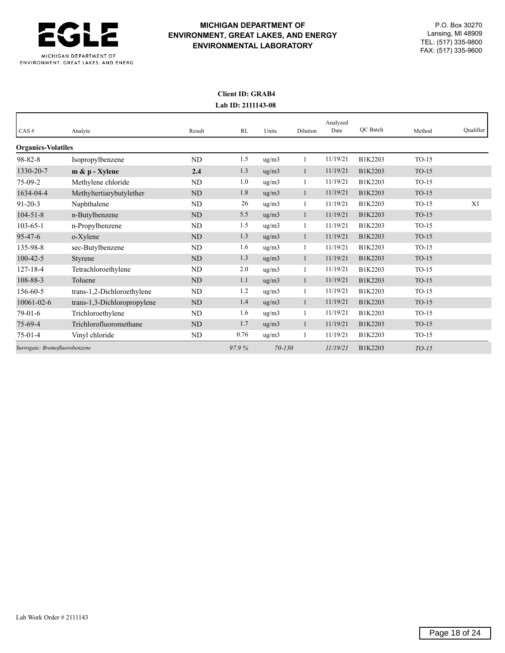

## **Client ID: GRAB4 Lab ID: 2111143-08**

|                               |                             |                |       |            |              | Analyzed |                 |         |           |
|-------------------------------|-----------------------------|----------------|-------|------------|--------------|----------|-----------------|---------|-----------|
| CAS#                          | Analyte                     | Result         | RL    | Units      | Dilution     | Date     | <b>OC</b> Batch | Method  | Qualifier |
| <b>Organics-Volatiles</b>     |                             |                |       |            |              |          |                 |         |           |
| $98 - 82 - 8$                 | Isopropylbenzene            | ND             | 1.5   | ug/m3      | 1            | 11/19/21 | B1K2203         | $TO-15$ |           |
| 1330-20-7                     | $m \& p$ - Xylene           | 2.4            | 1.3   | ug/m3      | $\mathbf{1}$ | 11/19/21 | B1K2203         | $TO-15$ |           |
| $75-09-2$                     | Methylene chloride          | <b>ND</b>      | 1.0   | ug/m3      | $\mathbf{1}$ | 11/19/21 | B1K2203         | $TO-15$ |           |
| 1634-04-4                     | Methyltertiarybutylether    | N <sub>D</sub> | 1.8   | ug/m3      | $\mathbf{1}$ | 11/19/21 | B1K2203         | $TO-15$ |           |
| $91 - 20 - 3$                 | Naphthalene                 | ND             | 26    | ug/m3      | 1            | 11/19/21 | B1K2203         | $TO-15$ | X1        |
| $104 - 51 - 8$                | n-Butylbenzene              | ND             | 5.5   | ug/m3      | $\mathbf{1}$ | 11/19/21 | B1K2203         | $TO-15$ |           |
| $103 - 65 - 1$                | n-Propylbenzene             | <b>ND</b>      | 1.5   | ug/m3      |              | 11/19/21 | B1K2203         | $TO-15$ |           |
| $95 - 47 - 6$                 | o-Xylene                    | <b>ND</b>      | 1.3   | ug/m3      | $\mathbf{1}$ | 11/19/21 | B1K2203         | $TO-15$ |           |
| 135-98-8                      | sec-Butylbenzene            | ND             | 1.6   | ug/m3      | $\mathbf{1}$ | 11/19/21 | B1K2203         | $TO-15$ |           |
| $100 - 42 - 5$                | Styrene                     | N <sub>D</sub> | 1.3   | ug/m3      | 1            | 11/19/21 | B1K2203         | $TO-15$ |           |
| $127 - 18 - 4$                | Tetrachloroethylene         | ND             | 2.0   | ug/m3      | 1            | 11/19/21 | B1K2203         | $TO-15$ |           |
| 108-88-3                      | Toluene                     | <b>ND</b>      | 1.1   | ug/m3      | $\mathbf{1}$ | 11/19/21 | B1K2203         | $TO-15$ |           |
| $156 - 60 - 5$                | trans-1,2-Dichloroethylene  | ND             | 1.2   | ug/m3      | $\mathbf{1}$ | 11/19/21 | B1K2203         | $TO-15$ |           |
| $10061 - 02 - 6$              | trans-1,3-Dichloropropylene | <b>ND</b>      | 1.4   | ug/m3      | $\mathbf{1}$ | 11/19/21 | B1K2203         | $TO-15$ |           |
| $79-01-6$                     | Trichloroethylene           | ND             | 1.6   | ug/m3      | 1            | 11/19/21 | B1K2203         | $TO-15$ |           |
| $75-69-4$                     | Trichlorofluoromethane      | N <sub>D</sub> | 1.7   | ug/m3      | $\mathbf{1}$ | 11/19/21 | B1K2203         | $TO-15$ |           |
| $75-01-4$                     | Vinyl chloride              | ND             | 0.76  | ug/m3      | 1            | 11/19/21 | B1K2203         | $TO-15$ |           |
| Surrogate: Bromofluorobenzene |                             |                | 97.9% | $70 - 130$ |              | 11/19/21 | B1K2203         | $TO-15$ |           |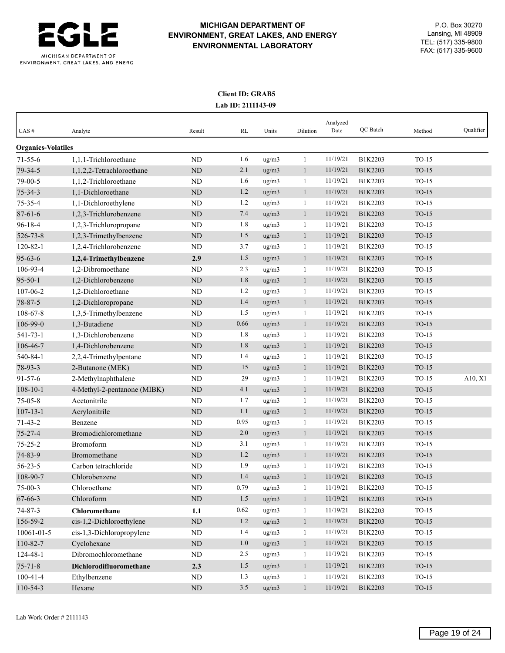

## **Client ID: GRAB5 Lab ID: 2111143-09**

| CAS#                      | Analyte                     | Result      | RL   | Units | Dilution     | Analyzed<br>Date | QC Batch | Method  | Qualifier |
|---------------------------|-----------------------------|-------------|------|-------|--------------|------------------|----------|---------|-----------|
| <b>Organics-Volatiles</b> |                             |             |      |       |              |                  |          |         |           |
| $71 - 55 - 6$             | 1,1,1-Trichloroethane       | ND          | 1.6  | ug/m3 | $\mathbf{1}$ | 11/19/21         | B1K2203  | $TO-15$ |           |
| 79-34-5                   | 1,1,2,2-Tetrachloroethane   | $\rm ND$    | 2.1  | ug/m3 | $\mathbf{1}$ | 11/19/21         | B1K2203  | $TO-15$ |           |
| $79-00-5$                 | 1,1,2-Trichloroethane       | ND          | 1.6  | ug/m3 | $\mathbf{1}$ | 11/19/21         | B1K2203  | $TO-15$ |           |
| $75 - 34 - 3$             | 1,1-Dichloroethane          | ND          | 1.2  | ug/m3 | $\mathbf{1}$ | 11/19/21         | B1K2203  | $TO-15$ |           |
| 75-35-4                   | 1,1-Dichloroethylene        | ND          | 1.2  | ug/m3 | $\mathbf{1}$ | 11/19/21         | B1K2203  | $TO-15$ |           |
| $87 - 61 - 6$             | 1,2,3-Trichlorobenzene      | ND          | 7.4  | ug/m3 | $\mathbf{1}$ | 11/19/21         | B1K2203  | $TO-15$ |           |
| $96 - 18 - 4$             | 1,2,3-Trichloropropane      | ND          | 1.8  | ug/m3 | 1            | 11/19/21         | B1K2203  | $TO-15$ |           |
| 526-73-8                  | 1,2,3-Trimethylbenzene      | <b>ND</b>   | 1.5  | ug/m3 | $\mathbf{1}$ | 11/19/21         | B1K2203  | $TO-15$ |           |
| $120 - 82 - 1$            | 1,2,4-Trichlorobenzene      | ND          | 3.7  | ug/m3 | $\mathbf{1}$ | 11/19/21         | B1K2203  | $TO-15$ |           |
| $95 - 63 - 6$             | 1,2,4-Trimethylbenzene      | 2.9         | 1.5  | ug/m3 | $\mathbf{1}$ | 11/19/21         | B1K2203  | $TO-15$ |           |
| 106-93-4                  | 1,2-Dibromoethane           | ND          | 2.3  | ug/m3 | 1            | 11/19/21         | B1K2203  | $TO-15$ |           |
| $95 - 50 - 1$             | 1,2-Dichlorobenzene         | <b>ND</b>   | 1.8  | ug/m3 | $\mathbf{1}$ | 11/19/21         | B1K2203  | $TO-15$ |           |
| $107 - 06 - 2$            | 1,2-Dichloroethane          | ND          | 1.2  | ug/m3 | $\mathbf{1}$ | 11/19/21         | B1K2203  | $TO-15$ |           |
| 78-87-5                   | 1,2-Dichloropropane         | ND          | 1.4  | ug/m3 | $\mathbf{1}$ | 11/19/21         | B1K2203  | $TO-15$ |           |
| 108-67-8                  | 1,3,5-Trimethylbenzene      | ND          | 1.5  | ug/m3 | $\mathbf{1}$ | 11/19/21         | B1K2203  | $TO-15$ |           |
| 106-99-0                  | 1,3-Butadiene               | ND          | 0.66 | ug/m3 | $\mathbf{1}$ | 11/19/21         | B1K2203  | $TO-15$ |           |
| $541 - 73 - 1$            | 1,3-Dichlorobenzene         | ND          | 1.8  | ug/m3 | $\mathbf{1}$ | 11/19/21         | B1K2203  | $TO-15$ |           |
| 106-46-7                  | 1,4-Dichlorobenzene         | $\rm ND$    | 1.8  | ug/m3 | $\mathbf{1}$ | 11/19/21         | B1K2203  | $TO-15$ |           |
| 540-84-1                  | 2,2,4-Trimethylpentane      | ND          | 1.4  | ug/m3 | $\mathbf{1}$ | 11/19/21         | B1K2203  | $TO-15$ |           |
| 78-93-3                   | 2-Butanone (MEK)            | ND          | 15   | ug/m3 | $\mathbf{1}$ | 11/19/21         | B1K2203  | $TO-15$ |           |
| $91 - 57 - 6$             | 2-Methylnaphthalene         | ND          | 29   | ug/m3 | $\mathbf{1}$ | 11/19/21         | B1K2203  | $TO-15$ | A10, X1   |
| $108 - 10 - 1$            | 4-Methyl-2-pentanone (MIBK) | <b>ND</b>   | 4.1  | ug/m3 | $\mathbf{1}$ | 11/19/21         | B1K2203  | $TO-15$ |           |
| $75 - 05 - 8$             | Acetonitrile                | ND          | 1.7  | ug/m3 | $\mathbf{1}$ | 11/19/21         | B1K2203  | $TO-15$ |           |
| $107 - 13 - 1$            | Acrylonitrile               | <b>ND</b>   | 1.1  | ug/m3 | $\mathbf{1}$ | 11/19/21         | B1K2203  | $TO-15$ |           |
| $71 - 43 - 2$             | Benzene                     | ND          | 0.95 | ug/m3 | $\mathbf{1}$ | 11/19/21         | B1K2203  | $TO-15$ |           |
| $75 - 27 - 4$             | Bromodichloromethane        | ND          | 2.0  | ug/m3 | $\mathbf{1}$ | 11/19/21         | B1K2203  | $TO-15$ |           |
| $75 - 25 - 2$             | Bromoform                   | ND          | 3.1  | ug/m3 | $\mathbf{1}$ | 11/19/21         | B1K2203  | $TO-15$ |           |
| 74-83-9                   | Bromomethane                | <b>ND</b>   | 1.2  | ug/m3 | $\mathbf{1}$ | 11/19/21         | B1K2203  | $TO-15$ |           |
| $56 - 23 - 5$             | Carbon tetrachloride        | ND          | 1.9  | ug/m3 | 1            | 11/19/21         | B1K2203  | $TO-15$ |           |
| 108-90-7                  | Chlorobenzene               | <b>ND</b>   | 1.4  | ug/m3 | $\mathbf{1}$ | 11/19/21         | B1K2203  | $TO-15$ |           |
| $75-00-3$                 | Chloroethane                | <b>ND</b>   | 0.79 | ug/m3 | $\mathbf{1}$ | 11/19/21         | B1K2203  | $TO-15$ |           |
| 67-66-3                   | Chloroform                  | $\mbox{ND}$ | 1.5  | ug/m3 | $\mathbf{1}$ | 11/19/21         | B1K2203  | $TO-15$ |           |
| $74 - 87 - 3$             | Chloromethane               | 1.1         | 0.62 | ug/m3 | $\mathbf{1}$ | 11/19/21         | B1K2203  | $TO-15$ |           |
| 156-59-2                  | cis-1,2-Dichloroethylene    | $\rm ND$    | 1.2  | ug/m3 | $\mathbf{1}$ | 11/19/21         | B1K2203  | $TO-15$ |           |
| 10061-01-5                | cis-1,3-Dichloropropylene   | <b>ND</b>   | 1.4  | ug/m3 | $\mathbf{1}$ | 11/19/21         | B1K2203  | $TO-15$ |           |
| 110-82-7                  | Cyclohexane                 | $\rm ND$    | 1.0  | ug/m3 | $\mathbf{1}$ | 11/19/21         | B1K2203  | $TO-15$ |           |
| 124-48-1                  | Dibromochloromethane        | ND          | 2.5  | ug/m3 | $\mathbf{1}$ | 11/19/21         | B1K2203  | $TO-15$ |           |
| $75 - 71 - 8$             | Dichlorodifluoromethane     | 2.3         | 1.5  | ug/m3 | $\mathbf{1}$ | 11/19/21         | B1K2203  | $TO-15$ |           |
| $100 - 41 - 4$            | Ethylbenzene                | ND          | 1.3  | ug/m3 | $\mathbf{1}$ | 11/19/21         | B1K2203  | $TO-15$ |           |
| 110-54-3                  | Hexane                      | $\rm ND$    | 3.5  | ug/m3 | $\mathbf{1}$ | 11/19/21         | B1K2203  | $TO-15$ |           |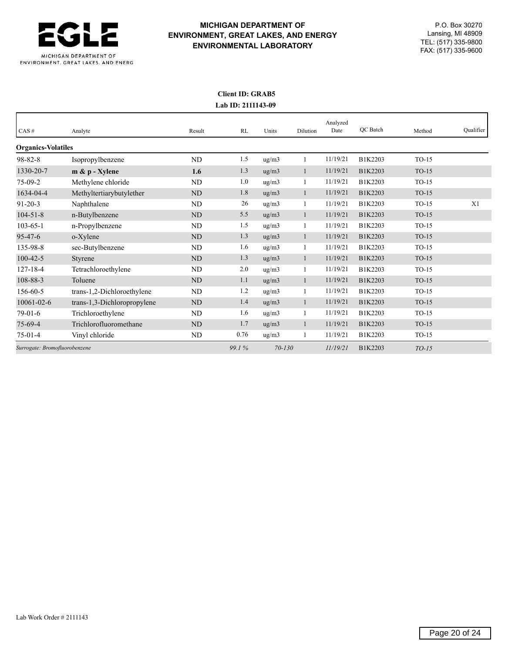

## **Client ID: GRAB5 Lab ID: 2111143-09**

|                               |                             |           |       |                     |              | Analyzed |                 |         |           |
|-------------------------------|-----------------------------|-----------|-------|---------------------|--------------|----------|-----------------|---------|-----------|
| CAS#                          | Analyte                     | Result    | RL    | Units               | Dilution     | Date     | <b>OC</b> Batch | Method  | Qualifier |
| <b>Organics-Volatiles</b>     |                             |           |       |                     |              |          |                 |         |           |
| $98 - 82 - 8$                 | Isopropylbenzene            | ND        | 1.5   | $\mu$ g/m $\lambda$ |              | 11/19/21 | B1K2203         | $TO-15$ |           |
| 1330-20-7                     | $m \& p$ - Xylene           | 1.6       | 1.3   | ug/m3               | $\mathbf{1}$ | 11/19/21 | B1K2203         | $TO-15$ |           |
| $75-09-2$                     | Methylene chloride          | ND        | 1.0   | ug/m3               | 1            | 11/19/21 | B1K2203         | $TO-15$ |           |
| 1634-04-4                     | Methyltertiarybutylether    | ND        | 1.8   | ug/m3               | $\mathbf{1}$ | 11/19/21 | B1K2203         | $TO-15$ |           |
| $91 - 20 - 3$                 | Naphthalene                 | ND        | 26    | ug/m3               | $\mathbf{1}$ | 11/19/21 | B1K2203         | $TO-15$ | X1        |
| $104 - 51 - 8$                | n-Butylbenzene              | ND        | 5.5   | ug/m3               | $\mathbf{1}$ | 11/19/21 | B1K2203         | $TO-15$ |           |
| $103 - 65 - 1$                | n-Propylbenzene             | <b>ND</b> | 1.5   | ug/m3               | 1            | 11/19/21 | B1K2203         | $TO-15$ |           |
| $95 - 47 - 6$                 | o-Xylene                    | <b>ND</b> | 1.3   | ug/m3               | $\mathbf{1}$ | 11/19/21 | B1K2203         | $TO-15$ |           |
| 135-98-8                      | sec-Butylbenzene            | ND        | 1.6   | ug/m3               | $\mathbf{1}$ | 11/19/21 | B1K2203         | $TO-15$ |           |
| $100 - 42 - 5$                | Styrene                     | <b>ND</b> | 1.3   | ug/m3               | $\mathbf{1}$ | 11/19/21 | B1K2203         | $TO-15$ |           |
| $127 - 18 - 4$                | Tetrachloroethylene         | ND        | 2.0   | ug/m3               | 1            | 11/19/21 | B1K2203         | $TO-15$ |           |
| 108-88-3                      | Toluene                     | <b>ND</b> | 1.1   | ug/m3               | $\mathbf{1}$ | 11/19/21 | B1K2203         | $TO-15$ |           |
| 156-60-5                      | trans-1,2-Dichloroethylene  | ND        | 1.2   | ug/m3               | 1            | 11/19/21 | B1K2203         | $TO-15$ |           |
| $10061 - 02 - 6$              | trans-1,3-Dichloropropylene | ND        | 1.4   | ug/m3               | $\mathbf{1}$ | 11/19/21 | B1K2203         | $TO-15$ |           |
| $79-01-6$                     | Trichloroethylene           | ND        | 1.6   | ug/m3               | $\mathbf{1}$ | 11/19/21 | B1K2203         | $TO-15$ |           |
| 75-69-4                       | Trichlorofluoromethane      | ND        | 1.7   | $\mu$ g/m $\lambda$ | $\mathbf{1}$ | 11/19/21 | B1K2203         | $TO-15$ |           |
| $75-01-4$                     | Vinyl chloride              | ND        | 0.76  | ug/m3               | $\mathbf{1}$ | 11/19/21 | B1K2203         | $TO-15$ |           |
| Surrogate: Bromofluorobenzene |                             |           | 99.1% | $70 - 130$          |              | 11/19/21 | B1K2203         | $TO-15$ |           |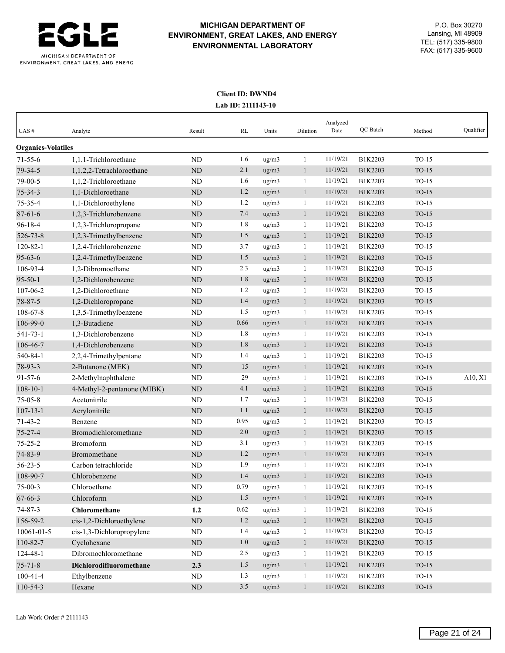

## **Client ID: DWND4 Lab ID: 2111143-10**

| CAS#                      | Analyte                     | Result    | RL      | Units              | Dilution     | Analyzed<br>Date | QC Batch | Method  | Qualifier |
|---------------------------|-----------------------------|-----------|---------|--------------------|--------------|------------------|----------|---------|-----------|
| <b>Organics-Volatiles</b> |                             |           |         |                    |              |                  |          |         |           |
| $71 - 55 - 6$             | 1.1.1-Trichloroethane       | <b>ND</b> | 1.6     | ug/m3              | $\mathbf{1}$ | 11/19/21         | B1K2203  | $TO-15$ |           |
| 79-34-5                   | 1,1,2,2-Tetrachloroethane   | <b>ND</b> | 2.1     | ug/m3              | $\mathbf{1}$ | 11/19/21         | B1K2203  | $TO-15$ |           |
| 79-00-5                   | 1,1,2-Trichloroethane       | <b>ND</b> | 1.6     | ug/m3              | 1            | 11/19/21         | B1K2203  | $TO-15$ |           |
| $75 - 34 - 3$             | 1,1-Dichloroethane          | <b>ND</b> | 1.2     | ug/m3              | $\mathbf{1}$ | 11/19/21         | B1K2203  | $TO-15$ |           |
| $75 - 35 - 4$             | 1,1-Dichloroethylene        | <b>ND</b> | 1.2     | ug/m3              | 1            | 11/19/21         | B1K2203  | $TO-15$ |           |
| $87 - 61 - 6$             | 1,2,3-Trichlorobenzene      | <b>ND</b> | 7.4     | ug/m3              | $\mathbf{1}$ | 11/19/21         | B1K2203  | $TO-15$ |           |
| $96 - 18 - 4$             | 1,2,3-Trichloropropane      | <b>ND</b> | 1.8     | $\frac{u}{g}}{m3}$ | 1            | 11/19/21         | B1K2203  | $TO-15$ |           |
| 526-73-8                  | 1,2,3-Trimethylbenzene      | <b>ND</b> | 1.5     | ug/m3              | $\mathbf{1}$ | 11/19/21         | B1K2203  | $TO-15$ |           |
| $120 - 82 - 1$            | 1,2,4-Trichlorobenzene      | <b>ND</b> | 3.7     | ug/m3              | 1            | 11/19/21         | B1K2203  | $TO-15$ |           |
| $95 - 63 - 6$             | 1,2,4-Trimethylbenzene      | <b>ND</b> | 1.5     | ug/m3              | $\mathbf{1}$ | 11/19/21         | B1K2203  | $TO-15$ |           |
| 106-93-4                  | 1,2-Dibromoethane           | <b>ND</b> | 2.3     | ug/m3              | 1            | 11/19/21         | B1K2203  | $TO-15$ |           |
| $95 - 50 - 1$             | 1,2-Dichlorobenzene         | <b>ND</b> | 1.8     | $\frac{ug}{m^3}$   | $\mathbf{1}$ | 11/19/21         | B1K2203  | $TO-15$ |           |
| 107-06-2                  | 1,2-Dichloroethane          | <b>ND</b> | 1.2     | ug/m3              | 1            | 11/19/21         | B1K2203  | $TO-15$ |           |
| 78-87-5                   | 1,2-Dichloropropane         | <b>ND</b> | 1.4     | $\frac{ug}{m^3}$   | $\mathbf{1}$ | 11/19/21         | B1K2203  | $TO-15$ |           |
| 108-67-8                  | 1,3,5-Trimethylbenzene      | <b>ND</b> | 1.5     | ug/m3              | $\mathbf{1}$ | 11/19/21         | B1K2203  | $TO-15$ |           |
| 106-99-0                  | 1,3-Butadiene               | <b>ND</b> | 0.66    | ug/m3              | $\mathbf{1}$ | 11/19/21         | B1K2203  | $TO-15$ |           |
| $541 - 73 - 1$            | 1,3-Dichlorobenzene         | <b>ND</b> | 1.8     | ug/m3              | 1            | 11/19/21         | B1K2203  | $TO-15$ |           |
| 106-46-7                  | 1,4-Dichlorobenzene         | <b>ND</b> | 1.8     | ug/m3              | $\mathbf{1}$ | 11/19/21         | B1K2203  | $TO-15$ |           |
| 540-84-1                  | 2,2,4-Trimethylpentane      | <b>ND</b> | 1.4     | ug/m3              | 1            | 11/19/21         | B1K2203  | $TO-15$ |           |
| 78-93-3                   | 2-Butanone (MEK)            | <b>ND</b> | 15      | ug/m3              | $\mathbf{1}$ | 11/19/21         | B1K2203  | $TO-15$ |           |
| $91 - 57 - 6$             | 2-Methylnaphthalene         | <b>ND</b> | 29      | ug/m3              | 1            | 11/19/21         | B1K2203  | $TO-15$ | A10, X1   |
| $108 - 10 - 1$            | 4-Methyl-2-pentanone (MIBK) | <b>ND</b> | 4.1     | ug/m3              | $\mathbf{1}$ | 11/19/21         | B1K2203  | $TO-15$ |           |
| $75 - 05 - 8$             | Acetonitrile                | <b>ND</b> | 1.7     | ug/m3              | 1            | 11/19/21         | B1K2203  | $TO-15$ |           |
| $107 - 13 - 1$            | Acrylonitrile               | <b>ND</b> | 1.1     | $\frac{ug}{m^3}$   | $\mathbf{1}$ | 11/19/21         | B1K2203  | $TO-15$ |           |
| $71 - 43 - 2$             | Benzene                     | <b>ND</b> | 0.95    | ug/m3              | 1            | 11/19/21         | B1K2203  | $TO-15$ |           |
| $75 - 27 - 4$             | Bromodichloromethane        | <b>ND</b> | 2.0     | ug/m3              | $\mathbf{1}$ | 11/19/21         | B1K2203  | $TO-15$ |           |
| $75 - 25 - 2$             | Bromoform                   | <b>ND</b> | 3.1     | ug/m3              | 1            | 11/19/21         | B1K2203  | $TO-15$ |           |
| 74-83-9                   | Bromomethane                | <b>ND</b> | 1.2     | ug/m3              | $\mathbf{1}$ | 11/19/21         | B1K2203  | $TO-15$ |           |
| $56 - 23 - 5$             | Carbon tetrachloride        | <b>ND</b> | 1.9     | ug/m3              | 1            | 11/19/21         | B1K2203  | $TO-15$ |           |
| 108-90-7                  | Chlorobenzene               | <b>ND</b> | 1.4     | ug/m3              | $\mathbf{1}$ | 11/19/21         | B1K2203  | $TO-15$ |           |
| $75-00-3$                 | Chloroethane                | ND        | 0.79    | ug/m3              | $\mathbf{1}$ | 11/19/21         | B1K2203  | $TO-15$ |           |
| $67 - 66 - 3$             | Chloroform                  | ND        | 1.5     | ug/m3              | $\mathbf{1}$ | 11/19/21         | B1K2203  | $TO-15$ |           |
| $74 - 87 - 3$             | Chloromethane               | 1.2       | 0.62    | ug/m3              | $\mathbf{1}$ | 11/19/21         | B1K2203  | $TO-15$ |           |
| 156-59-2                  | cis-1,2-Dichloroethylene    | $\rm ND$  | 1.2     | ug/m3              | $\mathbf{1}$ | 11/19/21         | B1K2203  | $TO-15$ |           |
| $10061 - 01 - 5$          | cis-1,3-Dichloropropylene   | $\rm ND$  | 1.4     | ug/m3              | $\mathbf{1}$ | 11/19/21         | B1K2203  | $TO-15$ |           |
| 110-82-7                  | Cyclohexane                 | ND        | $1.0\,$ | ug/m3              | $\mathbf{1}$ | 11/19/21         | B1K2203  | $TO-15$ |           |
| 124-48-1                  | Dibromochloromethane        | ND        | 2.5     | ug/m3              | $\mathbf{1}$ | 11/19/21         | B1K2203  | $TO-15$ |           |
| $75 - 71 - 8$             | Dichlorodifluoromethane     | 2.3       | 1.5     | ug/m3              | $\mathbf{1}$ | 11/19/21         | B1K2203  | $TO-15$ |           |
| $100 - 41 - 4$            | Ethylbenzene                | ND        | 1.3     | ug/m3              | $\mathbf{1}$ | 11/19/21         | B1K2203  | $TO-15$ |           |
| 110-54-3                  | Hexane                      | $\rm ND$  | 3.5     | ug/m3              | $\mathbf{1}$ | 11/19/21         | B1K2203  | $TO-15$ |           |
|                           |                             |           |         |                    |              |                  |          |         |           |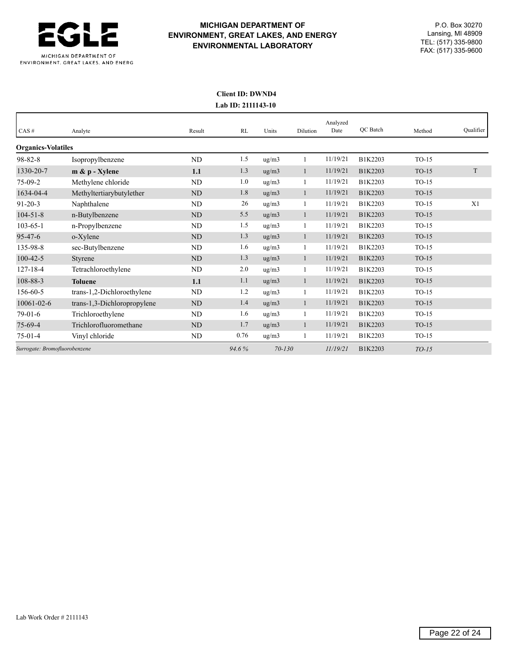

# **MICHIGAN DEPARTMENT OF** P.O. Box 30270 **ENVIRONMENT, GREAT LAKES, AND ENERGY** Lansing, MI 48909<br> **ENVIRONMENTAL LARORATORY** TEL: (517) 335-9800 TEL: (517) 335-9800 **ENVIRONMENTAL LABORATORY** FAX: (517) 335-9600

## **Client ID: DWND4 Lab ID: 2111143-10**

| CAS#                          | Analyte                     | Result    | RL    | Units      | Dilution | Analyzed<br>Date | QC Batch | Method  | Qualifier |
|-------------------------------|-----------------------------|-----------|-------|------------|----------|------------------|----------|---------|-----------|
| <b>Organics-Volatiles</b>     |                             |           |       |            |          |                  |          |         |           |
| $98 - 82 - 8$                 | Isopropylbenzene            | <b>ND</b> | 1.5   | ug/m3      |          | 11/19/21         | B1K2203  | $TO-15$ |           |
| 1330-20-7                     | $m \& p$ - Xylene           | 1.1       | 1.3   | ug/m3      |          | 11/19/21         | B1K2203  | $TO-15$ | T         |
| $75-09-2$                     | Methylene chloride          | ND        | 1.0   | ug/m3      |          | 11/19/21         | B1K2203  | $TO-15$ |           |
| 1634-04-4                     | Methyltertiarybutylether    | <b>ND</b> | 1.8   | ug/m3      | 1        | 11/19/21         | B1K2203  | $TO-15$ |           |
| $91 - 20 - 3$                 | Naphthalene                 | <b>ND</b> | 26    | ug/m3      |          | 11/19/21         | B1K2203  | $TO-15$ | X1        |
| $104 - 51 - 8$                | n-Butylbenzene              | <b>ND</b> | 5.5   | ug/m3      | -1       | 11/19/21         | B1K2203  | $TO-15$ |           |
| $103 - 65 - 1$                | n-Propylbenzene             | ND        | 1.5   | ug/m3      | 1        | 11/19/21         | B1K2203  | $TO-15$ |           |
| $95 - 47 - 6$                 | o-Xylene                    | ND        | 1.3   | ug/m3      | 1        | 11/19/21         | B1K2203  | $TO-15$ |           |
| 135-98-8                      | sec-Butylbenzene            | <b>ND</b> | 1.6   | ug/m3      |          | 11/19/21         | B1K2203  | $TO-15$ |           |
| $100 - 42 - 5$                | Styrene                     | <b>ND</b> | 1.3   | ug/m3      |          | 11/19/21         | B1K2203  | $TO-15$ |           |
| $127 - 18 - 4$                | Tetrachloroethylene         | ND        | 2.0   | ug/m3      |          | 11/19/21         | B1K2203  | $TO-15$ |           |
| 108-88-3                      | <b>Toluene</b>              | 1.1       | 1.1   | ug/m3      | 1        | 11/19/21         | B1K2203  | $TO-15$ |           |
| 156-60-5                      | trans-1,2-Dichloroethylene  | <b>ND</b> | 1.2   | ug/m3      |          | 11/19/21         | B1K2203  | $TO-15$ |           |
| $10061 - 02 - 6$              | trans-1,3-Dichloropropylene | <b>ND</b> | 1.4   | ug/m3      |          | 11/19/21         | B1K2203  | $TO-15$ |           |
| $79-01-6$                     | Trichloroethylene           | ND        | 1.6   | ug/m3      |          | 11/19/21         | B1K2203  | $TO-15$ |           |
| $75-69-4$                     | Trichlorofluoromethane      | <b>ND</b> | 1.7   | ug/m3      |          | 11/19/21         | B1K2203  | $TO-15$ |           |
| $75-01-4$                     | Vinyl chloride              | ND        | 0.76  | ug/m3      | 1        | 11/19/21         | B1K2203  | $TO-15$ |           |
| Surrogate: Bromofluorobenzene |                             |           | 94.6% | $70 - 130$ |          | 11/19/21         | B1K2203  | $TO-15$ |           |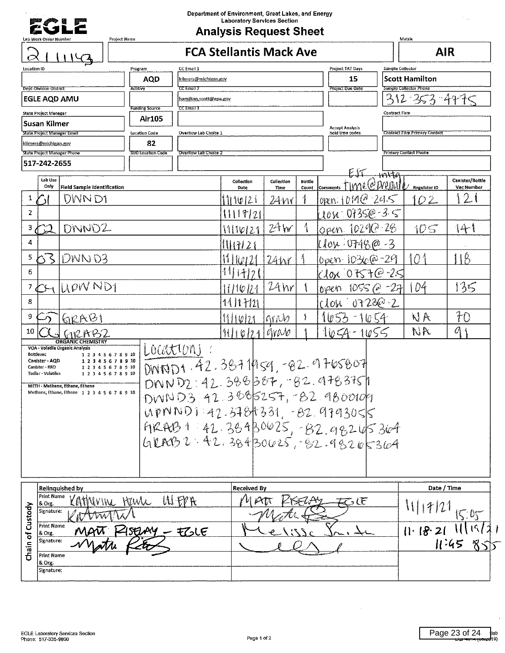

 $\begin{bmatrix} 2 \\ 1 \end{bmatrix}$   $\begin{bmatrix} 1 \\ 0 \end{bmatrix}$  **FCA Stellantis Mack Ave** 

| $\sim$<br>エエコマ<br>Location ID                                                                | Program<br>CC Email 1                          |                                   |                  |            | Project TAT Days                          | Sample Collector |                                      |                        |  |
|----------------------------------------------------------------------------------------------|------------------------------------------------|-----------------------------------|------------------|------------|-------------------------------------------|------------------|--------------------------------------|------------------------|--|
|                                                                                              | <b>AQD</b><br>kilmers@michigan.gov             |                                   |                  |            | 15                                        |                  | <b>Scott Hamilton</b>                |                        |  |
| Dept-Division-District                                                                       | Actitivy<br>CC Email 2                         |                                   |                  |            | <b>Project Due Date</b>                   |                  | Sample Collector Phone               |                        |  |
| <b>EGLE AQD AMU</b>                                                                          | hamilton.scott@epa.gov                         |                                   |                  |            |                                           |                  | 12 353 4775                          |                        |  |
| State Project Manager                                                                        | <b>Funding Source</b><br>CC Email 3<br>Air 105 |                                   |                  |            |                                           | Contract Firm    |                                      |                        |  |
| Susan Kilmer<br>State Project Manager Email                                                  | Overflow Lab Choice 1<br><b>Location Code</b>  |                                   |                  |            | <b>Accept Analysis</b><br>hold time codes |                  | <b>Contract Firm Primary Contact</b> |                        |  |
| kilmers@michigan.gov                                                                         | 82                                             |                                   |                  |            |                                           |                  |                                      |                        |  |
| <b>State Project Manager Phone</b>                                                           | SUD Location Code<br>Overflow Lab Choice 2     |                                   |                  |            |                                           |                  | <b>Primary Contact Phone</b>         |                        |  |
| 517-242-2655                                                                                 |                                                |                                   |                  |            |                                           |                  |                                      |                        |  |
| Lab Use<br>Only                                                                              |                                                | Collection                        | Collection       | Bottle     | me@Weliuth                                | قحنمت            | <b>Regulator ID</b>                  | Canister/Bottle        |  |
| <b>Field Sample Identification</b><br>DWN D1<br>1                                            |                                                | Date<br>1110121                   | Time<br>24 W r   | Count<br>ł | <b>Comments</b><br>var.101902295          |                  | 02                                   | Vac Number<br>21       |  |
| $\overline{2}$                                                                               |                                                |                                   |                  |            | 10U 0735@-3.5                             |                  |                                      |                        |  |
|                                                                                              |                                                | 1111721                           |                  | 1          |                                           |                  |                                      |                        |  |
| DNND2<br>3 <sub>1</sub>                                                                      |                                                | 111012                            | 24w              |            | Open 10290-28                             |                  | 105                                  | 141                    |  |
| 4                                                                                            |                                                | 11171<br>$\overline{\phantom{a}}$ |                  |            | llox: 0748@                               | $-3$             |                                      |                        |  |
| 5<br>$DWN$ D3<br>63                                                                          |                                                | 11 11 10 1 2 1                    | 24W              |            | 10pen 1036@-29                            |                  | 101                                  | $\ddot{1}$             |  |
| 6                                                                                            |                                                |                                   |                  |            | $c10x$ 0757 $e$ 25                        |                  |                                      |                        |  |
| LIPW ND1<br>$\overline{7}$                                                                   |                                                | 11/10/12                          | $24$ hr          |            | $1055$ $\odot$<br>oven                    | $-27$            | 104                                  | 135                    |  |
| 8                                                                                            |                                                | 14 11 14 21                       |                  |            | r LOSI                                    | $220-2$          |                                      |                        |  |
| 9<br>612AB1                                                                                  |                                                |                                   | lgravo           |            |                                           |                  | NA                                   | 70                     |  |
| 10<br><b>MRAB2</b>                                                                           |                                                | 111021                            | $\alpha$         |            | $0 - 4$<br>1055                           |                  | NR                                   | $0\mid$                |  |
| <b>ORGANIC CHEMISTRY</b>                                                                     |                                                |                                   |                  |            |                                           |                  |                                      |                        |  |
| VOA - Volatile Organic Analysis<br>12345678910<br>Bottlevac<br>Canister - AQD<br>12345678910 | LOCATIONS                                      |                                   |                  |            |                                           |                  |                                      |                        |  |
| 1 2 3 4 5 6 7 8 9 10<br>Canister - RRD<br>Tedlar - Volatiles<br>1 2 3 4 5 6 7 8 9 10         | DINNO1.42.38711959,-02.9765007                 |                                   |                  |            |                                           |                  |                                      |                        |  |
| METH - Methane, Ethane, Ethene                                                               | DNND2:42.388387,-82.9783751                    |                                   |                  |            |                                           |                  |                                      |                        |  |
| Methane, Ethane, Ethene 1 2 3 4 5 6 7 8 9 10                                                 | DWND3 42.3005257, 82.9800109                   |                                   |                  |            |                                           |                  |                                      |                        |  |
|                                                                                              | $WNND1.42.3784331. -B2.9793055$                |                                   |                  |            |                                           |                  |                                      |                        |  |
|                                                                                              | $98481:42.36930025, -82.98205304$              |                                   |                  |            |                                           |                  |                                      |                        |  |
|                                                                                              | GRAB2.42.38430625, 32.98265364                 |                                   |                  |            |                                           |                  |                                      |                        |  |
|                                                                                              |                                                |                                   |                  |            |                                           |                  |                                      |                        |  |
|                                                                                              |                                                |                                   |                  |            |                                           |                  |                                      |                        |  |
|                                                                                              |                                                |                                   |                  |            |                                           |                  |                                      |                        |  |
| <b>Relinquished by</b>                                                                       |                                                | <b>Received By</b>                |                  |            |                                           |                  | Date / Time                          |                        |  |
| Print Name<br>MVIN HUVL<br>& Org.                                                            | WERK                                           |                                   | $\mathcal{L}\pi$ | 4 SEUPU    | あい                                        |                  | 1111721                              |                        |  |
| Custody<br>Signature:<br><b>TWV</b>                                                          |                                                |                                   |                  |            |                                           |                  |                                      | 1505                   |  |
| Print Name<br>& Org                                                                          | PISEUAY - EZLE                                 |                                   |                  |            |                                           |                  | 11.18.21                             |                        |  |
| thain of<br>Signature:                                                                       |                                                |                                   |                  |            |                                           |                  |                                      | 11.45<br>$\mathcal{R}$ |  |
| <b>Print Name</b>                                                                            |                                                |                                   |                  |            |                                           |                  |                                      |                        |  |
| & Org.<br>Signature:                                                                         |                                                |                                   |                  |            |                                           |                  |                                      |                        |  |